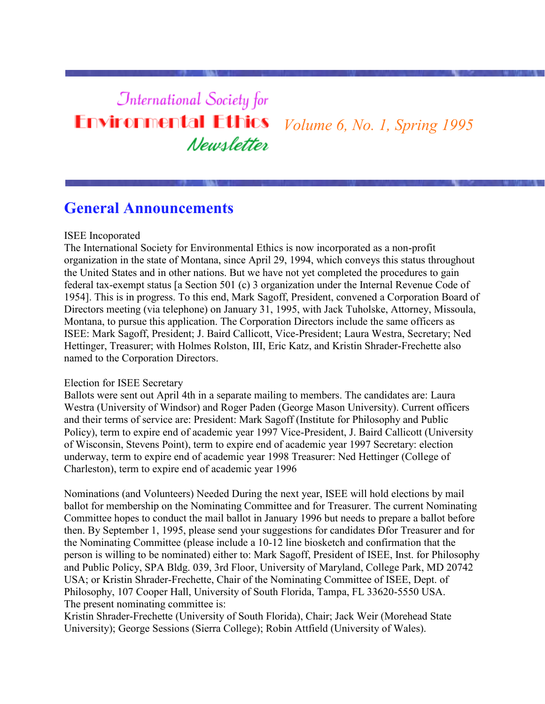## **International Society for Environmental Ethics** *Volume 6, No. 1, Spring 1995* Newsletter

### **General Announcements**

#### ISEE Incoporated

The International Society for Environmental Ethics is now incorporated as a non-profit organization in the state of Montana, since April 29, 1994, which conveys this status throughout the United States and in other nations. But we have not yet completed the procedures to gain federal tax-exempt status [a Section 501 (c) 3 organization under the Internal Revenue Code of 1954]. This is in progress. To this end, Mark Sagoff, President, convened a Corporation Board of Directors meeting (via telephone) on January 31, 1995, with Jack Tuholske, Attorney, Missoula, Montana, to pursue this application. The Corporation Directors include the same officers as ISEE: Mark Sagoff, President; J. Baird Callicott, Vice-President; Laura Westra, Secretary; Ned Hettinger, Treasurer; with Holmes Rolston, III, Eric Katz, and Kristin Shrader-Frechette also named to the Corporation Directors.

#### Election for ISEE Secretary

Ballots were sent out April 4th in a separate mailing to members. The candidates are: Laura Westra (University of Windsor) and Roger Paden (George Mason University). Current officers and their terms of service are: President: Mark Sagoff (Institute for Philosophy and Public Policy), term to expire end of academic year 1997 Vice-President, J. Baird Callicott (University of Wisconsin, Stevens Point), term to expire end of academic year 1997 Secretary: election underway, term to expire end of academic year 1998 Treasurer: Ned Hettinger (College of Charleston), term to expire end of academic year 1996

Nominations (and Volunteers) Needed During the next year, ISEE will hold elections by mail ballot for membership on the Nominating Committee and for Treasurer. The current Nominating Committee hopes to conduct the mail ballot in January 1996 but needs to prepare a ballot before then. By September 1, 1995, please send your suggestions for candidates Ðfor Treasurer and for the Nominating Committee (please include a 10-12 line biosketch and confirmation that the person is willing to be nominated) either to: Mark Sagoff, President of ISEE, Inst. for Philosophy and Public Policy, SPA Bldg. 039, 3rd Floor, University of Maryland, College Park, MD 20742 USA; or Kristin Shrader-Frechette, Chair of the Nominating Committee of ISEE, Dept. of Philosophy, 107 Cooper Hall, University of South Florida, Tampa, FL 33620-5550 USA. The present nominating committee is:

Kristin Shrader-Frechette (University of South Florida), Chair; Jack Weir (Morehead State University); George Sessions (Sierra College); Robin Attfield (University of Wales).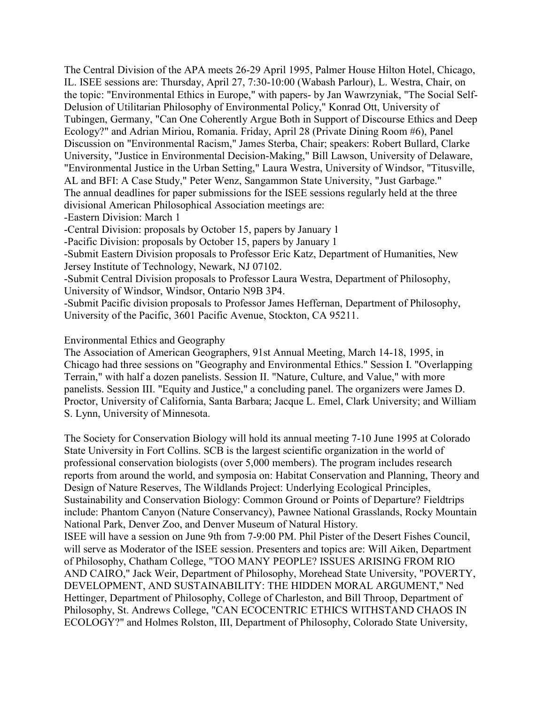The Central Division of the APA meets 26-29 April 1995, Palmer House Hilton Hotel, Chicago, IL. ISEE sessions are: Thursday, April 27, 7:30-10:00 (Wabash Parlour), L. Westra, Chair, on the topic: "Environmental Ethics in Europe," with papers- by Jan Wawrzyniak, "The Social Self-Delusion of Utilitarian Philosophy of Environmental Policy," Konrad Ott, University of Tubingen, Germany, "Can One Coherently Argue Both in Support of Discourse Ethics and Deep Ecology?" and Adrian Miriou, Romania. Friday, April 28 (Private Dining Room #6), Panel Discussion on "Environmental Racism," James Sterba, Chair; speakers: Robert Bullard, Clarke University, "Justice in Environmental Decision-Making," Bill Lawson, University of Delaware, "Environmental Justice in the Urban Setting," Laura Westra, University of Windsor, "Titusville, AL and BFI: A Case Study," Peter Wenz, Sangammon State University, "Just Garbage." The annual deadlines for paper submissions for the ISEE sessions regularly held at the three divisional American Philosophical Association meetings are:

-Eastern Division: March 1

-Central Division: proposals by October 15, papers by January 1

-Pacific Division: proposals by October 15, papers by January 1

-Submit Eastern Division proposals to Professor Eric Katz, Department of Humanities, New Jersey Institute of Technology, Newark, NJ 07102.

-Submit Central Division proposals to Professor Laura Westra, Department of Philosophy, University of Windsor, Windsor, Ontario N9B 3P4.

-Submit Pacific division proposals to Professor James Heffernan, Department of Philosophy, University of the Pacific, 3601 Pacific Avenue, Stockton, CA 95211.

#### Environmental Ethics and Geography

The Association of American Geographers, 91st Annual Meeting, March 14-18, 1995, in Chicago had three sessions on "Geography and Environmental Ethics." Session I. "Overlapping Terrain," with half a dozen panelists. Session II. "Nature, Culture, and Value," with more panelists. Session III. "Equity and Justice," a concluding panel. The organizers were James D. Proctor, University of California, Santa Barbara; Jacque L. Emel, Clark University; and William S. Lynn, University of Minnesota.

The Society for Conservation Biology will hold its annual meeting 7-10 June 1995 at Colorado State University in Fort Collins. SCB is the largest scientific organization in the world of professional conservation biologists (over 5,000 members). The program includes research reports from around the world, and symposia on: Habitat Conservation and Planning, Theory and Design of Nature Reserves, The Wildlands Project: Underlying Ecological Principles, Sustainability and Conservation Biology: Common Ground or Points of Departure? Fieldtrips include: Phantom Canyon (Nature Conservancy), Pawnee National Grasslands, Rocky Mountain National Park, Denver Zoo, and Denver Museum of Natural History. ISEE will have a session on June 9th from 7-9:00 PM. Phil Pister of the Desert Fishes Council, will serve as Moderator of the ISEE session. Presenters and topics are: Will Aiken, Department of Philosophy, Chatham College, "TOO MANY PEOPLE? ISSUES ARISING FROM RIO AND CAIRO," Jack Weir, Department of Philosophy, Morehead State University, "POVERTY, DEVELOPMENT, AND SUSTAINABILITY: THE HIDDEN MORAL ARGUMENT," Ned Hettinger, Department of Philosophy, College of Charleston, and Bill Throop, Department of Philosophy, St. Andrews College, "CAN ECOCENTRIC ETHICS WITHSTAND CHAOS IN ECOLOGY?" and Holmes Rolston, III, Department of Philosophy, Colorado State University,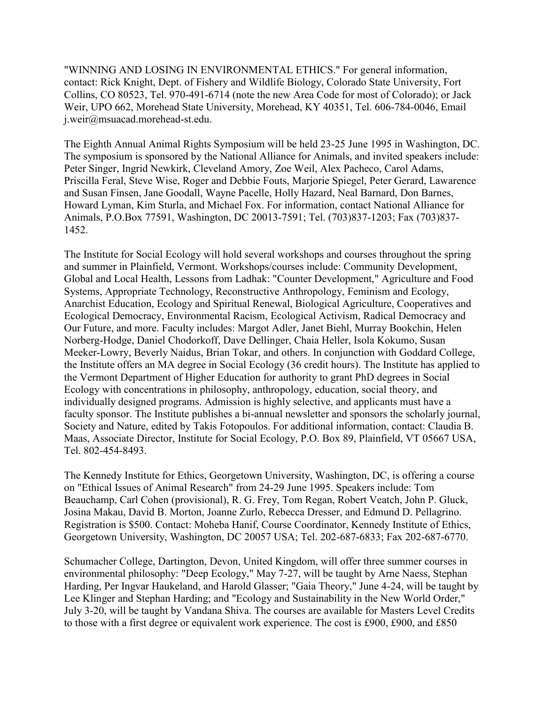"WINNING AND LOSING IN ENVIRONMENTAL ETHICS." For general information, contact: Rick Knight, Dept. of Fishery and Wildlife Biology, Colorado State University, Fort Collins, CO 80523, Tel. 970-491-6714 (note the new Area Code for most of Colorado); or Jack Weir, UPO 662, Morehead State University, Morehead, KY 40351, Tel. 606-784-0046, Email j.weir@msuacad.morehead-st.edu.

The Eighth Annual Animal Rights Symposium will be held 23-25 June 1995 in Washington, DC. The symposium is sponsored by the National Alliance for Animals, and invited speakers include: Peter Singer, Ingrid Newkirk, Cleveland Amory, Zoe Weil, Alex Pacheco, Carol Adams, Priscilla Feral, Steve Wise, Roger and Debbie Fouts, Marjorie Spiegel, Peter Gerard, Lawarence and Susan Finsen, Jane Goodall, Wayne Pacelle, Holly Hazard, Neal Barnard, Don Barnes, Howard Lyman, Kim Sturla, and Michael Fox. For information, contact National Alliance for Animals, P.O.Box 77591, Washington, DC 20013-7591; Tel. (703)837-1203; Fax (703)837- 1452.

The Institute for Social Ecology will hold several workshops and courses throughout the spring and summer in Plainfield, Vermont. Workshops/courses include: Community Development, Global and Local Health, Lessons from Ladhak: "Counter Development," Agriculture and Food Systems, Appropriate Technology, Reconstructive Anthropology, Feminism and Ecology, Anarchist Education, Ecology and Spiritual Renewal, Biological Agriculture, Cooperatives and Ecological Democracy, Environmental Racism, Ecological Activism, Radical Democracy and Our Future, and more. Faculty includes: Margot Adler, Janet Biehl, Murray Bookchin, Helen Norberg-Hodge, Daniel Chodorkoff, Dave Dellinger, Chaia Heller, Isola Kokumo, Susan Meeker-Lowry, Beverly Naidus, Brian Tokar, and others. In conjunction with Goddard College, the Institute offers an MA degree in Social Ecology (36 credit hours). The Institute has applied to the Vermont Department of Higher Education for authority to grant PhD degrees in Social Ecology with concentrations in philosophy, anthropology, education, social theory, and individually designed programs. Admission is highly selective, and applicants must have a faculty sponsor. The Institute publishes a bi-annual newsletter and sponsors the scholarly journal, Society and Nature, edited by Takis Fotopoulos. For additional information, contact: Claudia B. Maas, Associate Director, Institute for Social Ecology, P.O. Box 89, Plainfield, VT 05667 USA, Tel. 802-454-8493.

The Kennedy Institute for Ethics, Georgetown University, Washington, DC, is offering a course on "Ethical Issues of Animal Research" from 24-29 June 1995. Speakers include: Tom Beauchamp, Carl Cohen (provisional), R. G. Frey, Tom Regan, Robert Veatch, John P. Gluck, Josina Makau, David B. Morton, Joanne Zurlo, Rebecca Dresser, and Edmund D. Pellagrino. Registration is \$500. Contact: Moheba Hanif, Course Coordinator, Kennedy Institute of Ethics, Georgetown University, Washington, DC 20057 USA; Tel. 202-687-6833; Fax 202-687-6770.

Schumacher College, Dartington, Devon, United Kingdom, will offer three summer courses in environmental philosophy: "Deep Ecology," May 7-27, will be taught by Arne Naess, Stephan Harding, Per Ingvar Haukeland, and Harold Glasser; "Gaia Theory," June 4-24, will be taught by Lee Klinger and Stephan Harding; and "Ecology and Sustainability in the New World Order," July 3-20, will be taught by Vandana Shiva. The courses are available for Masters Level Credits to those with a first degree or equivalent work experience. The cost is £900, £900, and £850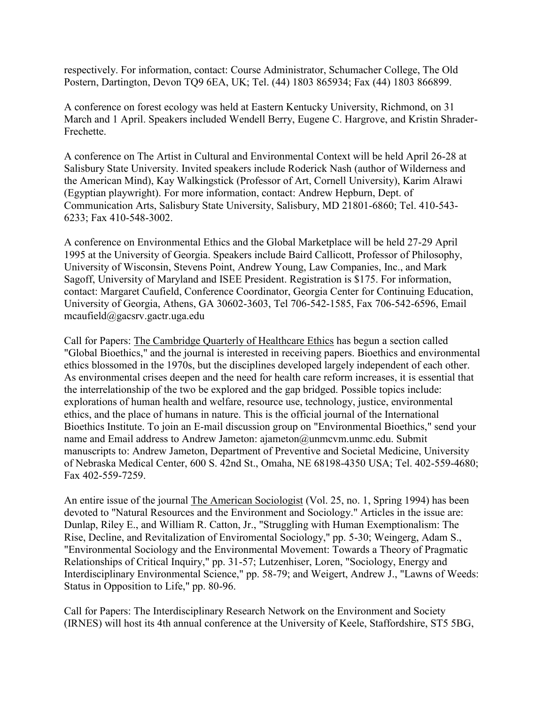respectively. For information, contact: Course Administrator, Schumacher College, The Old Postern, Dartington, Devon TQ9 6EA, UK; Tel. (44) 1803 865934; Fax (44) 1803 866899.

A conference on forest ecology was held at Eastern Kentucky University, Richmond, on 31 March and 1 April. Speakers included Wendell Berry, Eugene C. Hargrove, and Kristin Shrader-Frechette.

A conference on The Artist in Cultural and Environmental Context will be held April 26-28 at Salisbury State University. Invited speakers include Roderick Nash (author of Wilderness and the American Mind), Kay Walkingstick (Professor of Art, Cornell University), Karim Alrawi (Egyptian playwright). For more information, contact: Andrew Hepburn, Dept. of Communication Arts, Salisbury State University, Salisbury, MD 21801-6860; Tel. 410-543- 6233; Fax 410-548-3002.

A conference on Environmental Ethics and the Global Marketplace will be held 27-29 April 1995 at the University of Georgia. Speakers include Baird Callicott, Professor of Philosophy, University of Wisconsin, Stevens Point, Andrew Young, Law Companies, Inc., and Mark Sagoff, University of Maryland and ISEE President. Registration is \$175. For information, contact: Margaret Caufield, Conference Coordinator, Georgia Center for Continuing Education, University of Georgia, Athens, GA 30602-3603, Tel 706-542-1585, Fax 706-542-6596, Email mcaufield@gacsrv.gactr.uga.edu

Call for Papers: The Cambridge Quarterly of Healthcare Ethics has begun a section called "Global Bioethics," and the journal is interested in receiving papers. Bioethics and environmental ethics blossomed in the 1970s, but the disciplines developed largely independent of each other. As environmental crises deepen and the need for health care reform increases, it is essential that the interrelationship of the two be explored and the gap bridged. Possible topics include: explorations of human health and welfare, resource use, technology, justice, environmental ethics, and the place of humans in nature. This is the official journal of the International Bioethics Institute. To join an E-mail discussion group on "Environmental Bioethics," send your name and Email address to Andrew Jameton: ajameton@unmcvm.unmc.edu. Submit manuscripts to: Andrew Jameton, Department of Preventive and Societal Medicine, University of Nebraska Medical Center, 600 S. 42nd St., Omaha, NE 68198-4350 USA; Tel. 402-559-4680; Fax 402-559-7259.

An entire issue of the journal The American Sociologist (Vol. 25, no. 1, Spring 1994) has been devoted to "Natural Resources and the Environment and Sociology." Articles in the issue are: Dunlap, Riley E., and William R. Catton, Jr., "Struggling with Human Exemptionalism: The Rise, Decline, and Revitalization of Enviromental Sociology," pp. 5-30; Weingerg, Adam S., "Environmental Sociology and the Environmental Movement: Towards a Theory of Pragmatic Relationships of Critical Inquiry," pp. 31-57; Lutzenhiser, Loren, "Sociology, Energy and Interdisciplinary Environmental Science," pp. 58-79; and Weigert, Andrew J., "Lawns of Weeds: Status in Opposition to Life," pp. 80-96.

Call for Papers: The Interdisciplinary Research Network on the Environment and Society (IRNES) will host its 4th annual conference at the University of Keele, Staffordshire, ST5 5BG,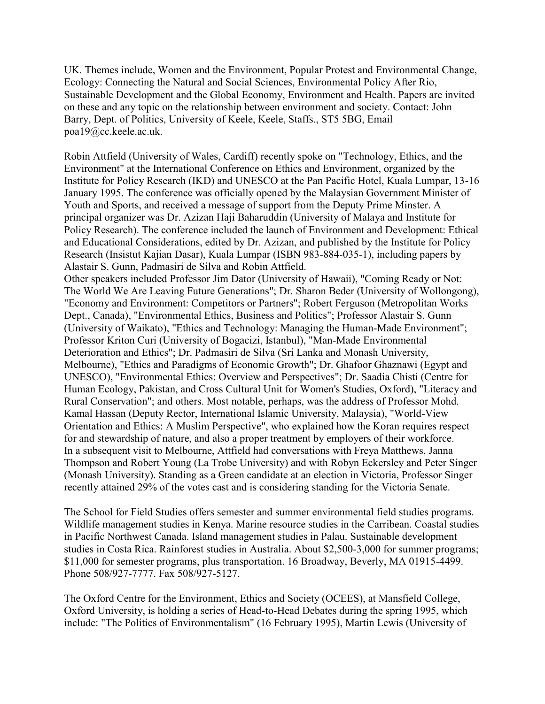UK. Themes include, Women and the Environment, Popular Protest and Environmental Change, Ecology: Connecting the Natural and Social Sciences, Environmental Policy After Rio, Sustainable Development and the Global Economy, Environment and Health. Papers are invited on these and any topic on the relationship between environment and society. Contact: John Barry, Dept. of Politics, University of Keele, Keele, Staffs., ST5 5BG, Email poa19@cc.keele.ac.uk.

Robin Attfield (University of Wales, Cardiff) recently spoke on "Technology, Ethics, and the Environment" at the International Conference on Ethics and Environment, organized by the Institute for Policy Research (IKD) and UNESCO at the Pan Pacific Hotel, Kuala Lumpar, 13-16 January 1995. The conference was officially opened by the Malaysian Government Minister of Youth and Sports, and received a message of support from the Deputy Prime Minster. A principal organizer was Dr. Azizan Haji Baharuddin (University of Malaya and Institute for Policy Research). The conference included the launch of Environment and Development: Ethical and Educational Considerations, edited by Dr. Azizan, and published by the Institute for Policy Research (Insistut Kajian Dasar), Kuala Lumpar (ISBN 983-884-035-1), including papers by Alastair S. Gunn, Padmasiri de Silva and Robin Attfield.

Other speakers included Professor Jim Dator (University of Hawaii), "Coming Ready or Not: The World We Are Leaving Future Generations"; Dr. Sharon Beder (University of Wollongong), "Economy and Environment: Competitors or Partners"; Robert Ferguson (Metropolitan Works Dept., Canada), "Environmental Ethics, Business and Politics"; Professor Alastair S. Gunn (University of Waikato), "Ethics and Technology: Managing the Human-Made Environment"; Professor Kriton Curi (University of Bogacizi, Istanbul), "Man-Made Environmental Deterioration and Ethics"; Dr. Padmasiri de Silva (Sri Lanka and Monash University, Melbourne), "Ethics and Paradigms of Economic Growth"; Dr. Ghafoor Ghaznawi (Egypt and UNESCO), "Environmental Ethics: Overview and Perspectives"; Dr. Saadia Chisti (Centre for Human Ecology, Pakistan, and Cross Cultural Unit for Women's Studies, Oxford), "Literacy and Rural Conservation"; and others. Most notable, perhaps, was the address of Professor Mohd. Kamal Hassan (Deputy Rector, International Islamic University, Malaysia), "World-View Orientation and Ethics: A Muslim Perspective", who explained how the Koran requires respect for and stewardship of nature, and also a proper treatment by employers of their workforce. In a subsequent visit to Melbourne, Attfield had conversations with Freya Matthews, Janna Thompson and Robert Young (La Trobe University) and with Robyn Eckersley and Peter Singer (Monash University). Standing as a Green candidate at an election in Victoria, Professor Singer recently attained 29% of the votes cast and is considering standing for the Victoria Senate.

The School for Field Studies offers semester and summer environmental field studies programs. Wildlife management studies in Kenya. Marine resource studies in the Carribean. Coastal studies in Pacific Northwest Canada. Island management studies in Palau. Sustainable development studies in Costa Rica. Rainforest studies in Australia. About \$2,500-3,000 for summer programs; \$11,000 for semester programs, plus transportation. 16 Broadway, Beverly, MA 01915-4499. Phone 508/927-7777. Fax 508/927-5127.

The Oxford Centre for the Environment, Ethics and Society (OCEES), at Mansfield College, Oxford University, is holding a series of Head-to-Head Debates during the spring 1995, which include: "The Politics of Environmentalism" (16 February 1995), Martin Lewis (University of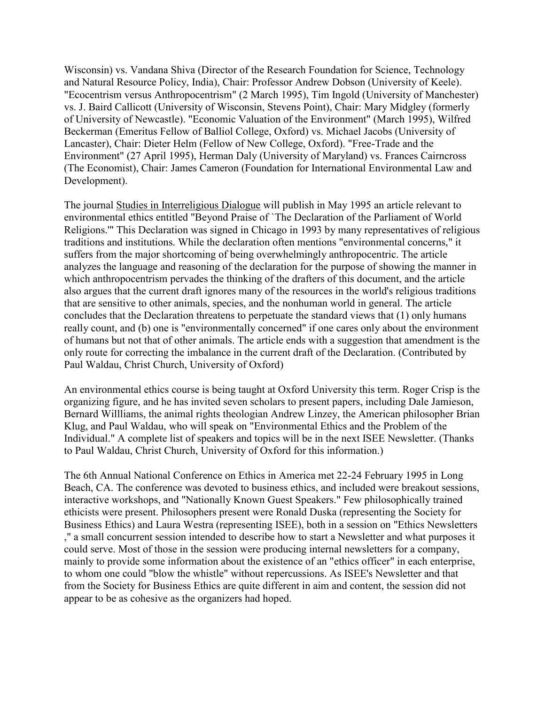Wisconsin) vs. Vandana Shiva (Director of the Research Foundation for Science, Technology and Natural Resource Policy, India), Chair: Professor Andrew Dobson (University of Keele). "Ecocentrism versus Anthropocentrism" (2 March 1995), Tim Ingold (University of Manchester) vs. J. Baird Callicott (University of Wisconsin, Stevens Point), Chair: Mary Midgley (formerly of University of Newcastle). "Economic Valuation of the Environment" (March 1995), Wilfred Beckerman (Emeritus Fellow of Balliol College, Oxford) vs. Michael Jacobs (University of Lancaster), Chair: Dieter Helm (Fellow of New College, Oxford). "Free-Trade and the Environment" (27 April 1995), Herman Daly (University of Maryland) vs. Frances Cairncross (The Economist), Chair: James Cameron (Foundation for International Environmental Law and Development).

The journal Studies in Interreligious Dialogue will publish in May 1995 an article relevant to environmental ethics entitled "Beyond Praise of `The Declaration of the Parliament of World Religions.'" This Declaration was signed in Chicago in 1993 by many representatives of religious traditions and institutions. While the declaration often mentions "environmental concerns," it suffers from the major shortcoming of being overwhelmingly anthropocentric. The article analyzes the language and reasoning of the declaration for the purpose of showing the manner in which anthropocentrism pervades the thinking of the drafters of this document, and the article also argues that the current draft ignores many of the resources in the world's religious traditions that are sensitive to other animals, species, and the nonhuman world in general. The article concludes that the Declaration threatens to perpetuate the standard views that (1) only humans really count, and (b) one is "environmentally concerned" if one cares only about the environment of humans but not that of other animals. The article ends with a suggestion that amendment is the only route for correcting the imbalance in the current draft of the Declaration. (Contributed by Paul Waldau, Christ Church, University of Oxford)

An environmental ethics course is being taught at Oxford University this term. Roger Crisp is the organizing figure, and he has invited seven scholars to present papers, including Dale Jamieson, Bernard Willliams, the animal rights theologian Andrew Linzey, the American philosopher Brian Klug, and Paul Waldau, who will speak on "Environmental Ethics and the Problem of the Individual." A complete list of speakers and topics will be in the next ISEE Newsletter. (Thanks to Paul Waldau, Christ Church, University of Oxford for this information.)

The 6th Annual National Conference on Ethics in America met 22-24 February 1995 in Long Beach, CA. The conference was devoted to business ethics, and included were breakout sessions, interactive workshops, and "Nationally Known Guest Speakers." Few philosophically trained ethicists were present. Philosophers present were Ronald Duska (representing the Society for Business Ethics) and Laura Westra (representing ISEE), both in a session on "Ethics Newsletters ," a small concurrent session intended to describe how to start a Newsletter and what purposes it could serve. Most of those in the session were producing internal newsletters for a company, mainly to provide some information about the existence of an "ethics officer" in each enterprise, to whom one could "blow the whistle" without repercussions. As ISEE's Newsletter and that from the Society for Business Ethics are quite different in aim and content, the session did not appear to be as cohesive as the organizers had hoped.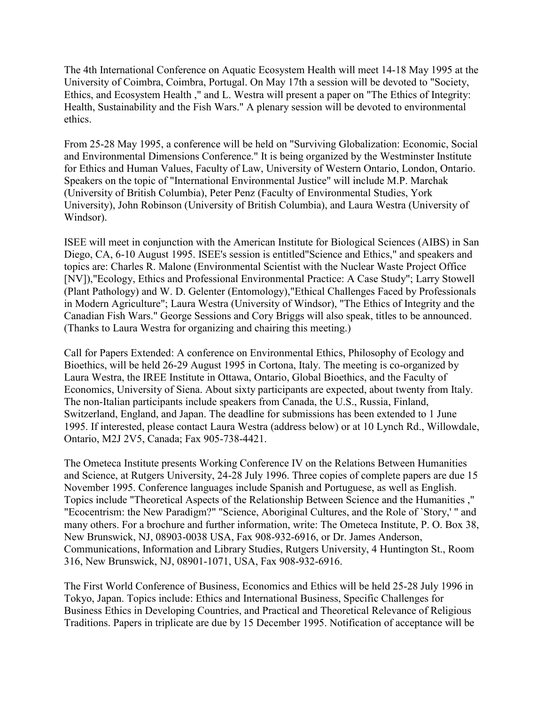The 4th International Conference on Aquatic Ecosystem Health will meet 14-18 May 1995 at the University of Coimbra, Coimbra, Portugal. On May 17th a session will be devoted to "Society, Ethics, and Ecosystem Health ," and L. Westra will present a paper on "The Ethics of Integrity: Health, Sustainability and the Fish Wars." A plenary session will be devoted to environmental ethics.

From 25-28 May 1995, a conference will be held on "Surviving Globalization: Economic, Social and Environmental Dimensions Conference." It is being organized by the Westminster Institute for Ethics and Human Values, Faculty of Law, University of Western Ontario, London, Ontario. Speakers on the topic of "International Environmental Justice" will include M.P. Marchak (University of British Columbia), Peter Penz (Faculty of Environmental Studies, York University), John Robinson (University of British Columbia), and Laura Westra (University of Windsor).

ISEE will meet in conjunction with the American Institute for Biological Sciences (AIBS) in San Diego, CA, 6-10 August 1995. ISEE's session is entitled"Science and Ethics," and speakers and topics are: Charles R. Malone (Environmental Scientist with the Nuclear Waste Project Office [NV]),"Ecology, Ethics and Professional Environmental Practice: A Case Study"; Larry Stowell (Plant Pathology) and W. D. Gelenter (Entomology),"Ethical Challenges Faced by Professionals in Modern Agriculture"; Laura Westra (University of Windsor), "The Ethics of Integrity and the Canadian Fish Wars." George Sessions and Cory Briggs will also speak, titles to be announced. (Thanks to Laura Westra for organizing and chairing this meeting.)

Call for Papers Extended: A conference on Environmental Ethics, Philosophy of Ecology and Bioethics, will be held 26-29 August 1995 in Cortona, Italy. The meeting is co-organized by Laura Westra, the IREE Institute in Ottawa, Ontario, Global Bioethics, and the Faculty of Economics, University of Siena. About sixty participants are expected, about twenty from Italy. The non-Italian participants include speakers from Canada, the U.S., Russia, Finland, Switzerland, England, and Japan. The deadline for submissions has been extended to 1 June 1995. If interested, please contact Laura Westra (address below) or at 10 Lynch Rd., Willowdale, Ontario, M2J 2V5, Canada; Fax 905-738-4421.

The Ometeca Institute presents Working Conference IV on the Relations Between Humanities and Science, at Rutgers University, 24-28 July 1996. Three copies of complete papers are due 15 November 1995. Conference languages include Spanish and Portuguese, as well as English. Topics include "Theoretical Aspects of the Relationship Between Science and the Humanities ," "Ecocentrism: the New Paradigm?" "Science, Aboriginal Cultures, and the Role of `Story,' " and many others. For a brochure and further information, write: The Ometeca Institute, P. O. Box 38, New Brunswick, NJ, 08903-0038 USA, Fax 908-932-6916, or Dr. James Anderson, Communications, Information and Library Studies, Rutgers University, 4 Huntington St., Room 316, New Brunswick, NJ, 08901-1071, USA, Fax 908-932-6916.

The First World Conference of Business, Economics and Ethics will be held 25-28 July 1996 in Tokyo, Japan. Topics include: Ethics and International Business, Specific Challenges for Business Ethics in Developing Countries, and Practical and Theoretical Relevance of Religious Traditions. Papers in triplicate are due by 15 December 1995. Notification of acceptance will be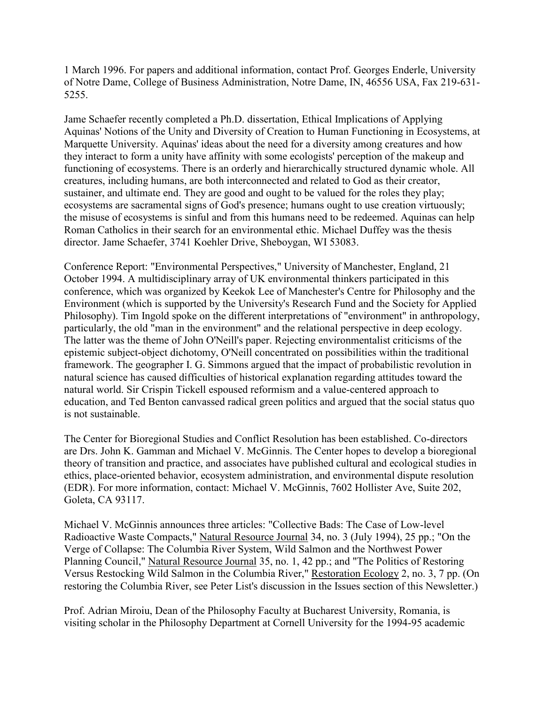1 March 1996. For papers and additional information, contact Prof. Georges Enderle, University of Notre Dame, College of Business Administration, Notre Dame, IN, 46556 USA, Fax 219-631- 5255.

Jame Schaefer recently completed a Ph.D. dissertation, Ethical Implications of Applying Aquinas' Notions of the Unity and Diversity of Creation to Human Functioning in Ecosystems, at Marquette University. Aquinas' ideas about the need for a diversity among creatures and how they interact to form a unity have affinity with some ecologists' perception of the makeup and functioning of ecosystems. There is an orderly and hierarchically structured dynamic whole. All creatures, including humans, are both interconnected and related to God as their creator, sustainer, and ultimate end. They are good and ought to be valued for the roles they play; ecosystems are sacramental signs of God's presence; humans ought to use creation virtuously; the misuse of ecosystems is sinful and from this humans need to be redeemed. Aquinas can help Roman Catholics in their search for an environmental ethic. Michael Duffey was the thesis director. Jame Schaefer, 3741 Koehler Drive, Sheboygan, WI 53083.

Conference Report: "Environmental Perspectives," University of Manchester, England, 21 October 1994. A multidisciplinary array of UK environmental thinkers participated in this conference, which was organized by Keekok Lee of Manchester's Centre for Philosophy and the Environment (which is supported by the University's Research Fund and the Society for Applied Philosophy). Tim Ingold spoke on the different interpretations of "environment" in anthropology, particularly, the old "man in the environment" and the relational perspective in deep ecology. The latter was the theme of John O'Neill's paper. Rejecting environmentalist criticisms of the epistemic subject-object dichotomy, O'Neill concentrated on possibilities within the traditional framework. The geographer I. G. Simmons argued that the impact of probabilistic revolution in natural science has caused difficulties of historical explanation regarding attitudes toward the natural world. Sir Crispin Tickell espoused reformism and a value-centered approach to education, and Ted Benton canvassed radical green politics and argued that the social status quo is not sustainable.

The Center for Bioregional Studies and Conflict Resolution has been established. Co-directors are Drs. John K. Gamman and Michael V. McGinnis. The Center hopes to develop a bioregional theory of transition and practice, and associates have published cultural and ecological studies in ethics, place-oriented behavior, ecosystem administration, and environmental dispute resolution (EDR). For more information, contact: Michael V. McGinnis, 7602 Hollister Ave, Suite 202, Goleta, CA 93117.

Michael V. McGinnis announces three articles: "Collective Bads: The Case of Low-level Radioactive Waste Compacts," Natural Resource Journal 34, no. 3 (July 1994), 25 pp.; "On the Verge of Collapse: The Columbia River System, Wild Salmon and the Northwest Power Planning Council," Natural Resource Journal 35, no. 1, 42 pp.; and "The Politics of Restoring Versus Restocking Wild Salmon in the Columbia River," Restoration Ecology 2, no. 3, 7 pp. (On restoring the Columbia River, see Peter List's discussion in the Issues section of this Newsletter.)

Prof. Adrian Miroiu, Dean of the Philosophy Faculty at Bucharest University, Romania, is visiting scholar in the Philosophy Department at Cornell University for the 1994-95 academic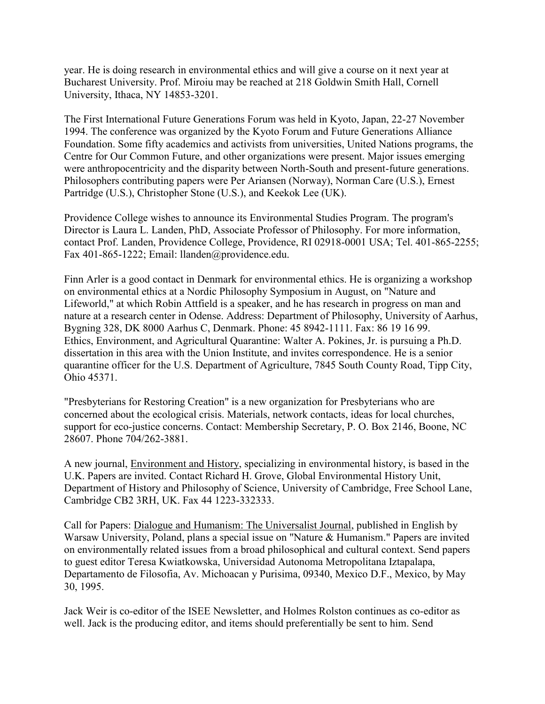year. He is doing research in environmental ethics and will give a course on it next year at Bucharest University. Prof. Miroiu may be reached at 218 Goldwin Smith Hall, Cornell University, Ithaca, NY 14853-3201.

The First International Future Generations Forum was held in Kyoto, Japan, 22-27 November 1994. The conference was organized by the Kyoto Forum and Future Generations Alliance Foundation. Some fifty academics and activists from universities, United Nations programs, the Centre for Our Common Future, and other organizations were present. Major issues emerging were anthropocentricity and the disparity between North-South and present-future generations. Philosophers contributing papers were Per Ariansen (Norway), Norman Care (U.S.), Ernest Partridge (U.S.), Christopher Stone (U.S.), and Keekok Lee (UK).

Providence College wishes to announce its Environmental Studies Program. The program's Director is Laura L. Landen, PhD, Associate Professor of Philosophy. For more information, contact Prof. Landen, Providence College, Providence, RI 02918-0001 USA; Tel. 401-865-2255; Fax 401-865-1222; Email: llanden@providence.edu.

Finn Arler is a good contact in Denmark for environmental ethics. He is organizing a workshop on environmental ethics at a Nordic Philosophy Symposium in August, on "Nature and Lifeworld," at which Robin Attfield is a speaker, and he has research in progress on man and nature at a research center in Odense. Address: Department of Philosophy, University of Aarhus, Bygning 328, DK 8000 Aarhus C, Denmark. Phone: 45 8942-1111. Fax: 86 19 16 99. Ethics, Environment, and Agricultural Quarantine: Walter A. Pokines, Jr. is pursuing a Ph.D. dissertation in this area with the Union Institute, and invites correspondence. He is a senior quarantine officer for the U.S. Department of Agriculture, 7845 South County Road, Tipp City, Ohio 45371.

"Presbyterians for Restoring Creation" is a new organization for Presbyterians who are concerned about the ecological crisis. Materials, network contacts, ideas for local churches, support for eco-justice concerns. Contact: Membership Secretary, P. O. Box 2146, Boone, NC 28607. Phone 704/262-3881.

A new journal, Environment and History, specializing in environmental history, is based in the U.K. Papers are invited. Contact Richard H. Grove, Global Environmental History Unit, Department of History and Philosophy of Science, University of Cambridge, Free School Lane, Cambridge CB2 3RH, UK. Fax 44 1223-332333.

Call for Papers: Dialogue and Humanism: The Universalist Journal, published in English by Warsaw University, Poland, plans a special issue on "Nature & Humanism." Papers are invited on environmentally related issues from a broad philosophical and cultural context. Send papers to guest editor Teresa Kwiatkowska, Universidad Autonoma Metropolitana Iztapalapa, Departamento de Filosofia, Av. Michoacan y Purisima, 09340, Mexico D.F., Mexico, by May 30, 1995.

Jack Weir is co-editor of the ISEE Newsletter, and Holmes Rolston continues as co-editor as well. Jack is the producing editor, and items should preferentially be sent to him. Send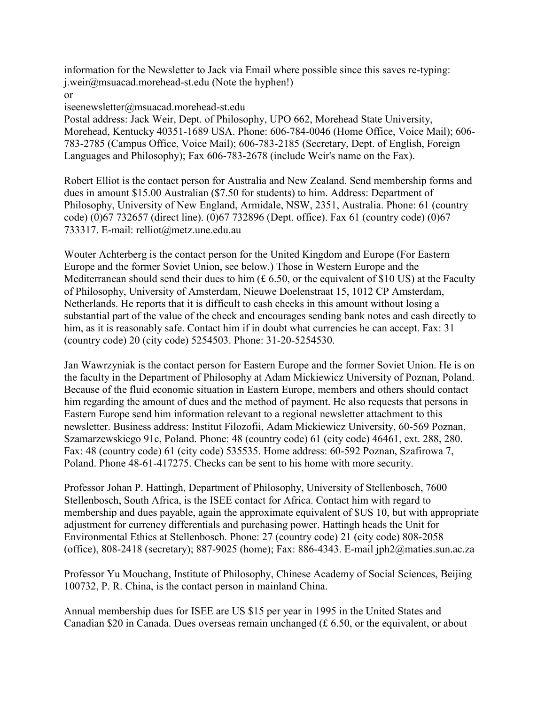information for the Newsletter to Jack via Email where possible since this saves re-typing: j.weir@msuacad.morehead-st.edu (Note the hyphen!)

or

iseenewsletter@msuacad.morehead-st.edu

Postal address: Jack Weir, Dept. of Philosophy, UPO 662, Morehead State University, Morehead, Kentucky 40351-1689 USA. Phone: 606-784-0046 (Home Office, Voice Mail); 606- 783-2785 (Campus Office, Voice Mail); 606-783-2185 (Secretary, Dept. of English, Foreign Languages and Philosophy); Fax 606-783-2678 (include Weir's name on the Fax).

Robert Elliot is the contact person for Australia and New Zealand. Send membership forms and dues in amount \$15.00 Australian (\$7.50 for students) to him. Address: Department of Philosophy, University of New England, Armidale, NSW, 2351, Australia. Phone: 61 (country code) (0)67 732657 (direct line). (0)67 732896 (Dept. office). Fax 61 (country code) (0)67 733317. E-mail: relliot@metz.une.edu.au

Wouter Achterberg is the contact person for the United Kingdom and Europe (For Eastern Europe and the former Soviet Union, see below.) Those in Western Europe and the Mediterranean should send their dues to him  $(E 6.50)$ , or the equivalent of \$10 US) at the Faculty of Philosophy, University of Amsterdam, Nieuwe Doelenstraat 15, 1012 CP Amsterdam, Netherlands. He reports that it is difficult to cash checks in this amount without losing a substantial part of the value of the check and encourages sending bank notes and cash directly to him, as it is reasonably safe. Contact him if in doubt what currencies he can accept. Fax: 31 (country code) 20 (city code) 5254503. Phone: 31-20-5254530.

Jan Wawrzyniak is the contact person for Eastern Europe and the former Soviet Union. He is on the faculty in the Department of Philosophy at Adam Mickiewicz University of Poznan, Poland. Because of the fluid economic situation in Eastern Europe, members and others should contact him regarding the amount of dues and the method of payment. He also requests that persons in Eastern Europe send him information relevant to a regional newsletter attachment to this newsletter. Business address: Institut Filozofii, Adam Mickiewicz University, 60-569 Poznan, Szamarzewskiego 91c, Poland. Phone: 48 (country code) 61 (city code) 46461, ext. 288, 280. Fax: 48 (country code) 61 (city code) 535535. Home address: 60-592 Poznan, Szafirowa 7, Poland. Phone 48-61-417275. Checks can be sent to his home with more security.

Professor Johan P. Hattingh, Department of Philosophy, University of Stellenbosch, 7600 Stellenbosch, South Africa, is the ISEE contact for Africa. Contact him with regard to membership and dues payable, again the approximate equivalent of \$US 10, but with appropriate adjustment for currency differentials and purchasing power. Hattingh heads the Unit for Environmental Ethics at Stellenbosch. Phone: 27 (country code) 21 (city code) 808-2058 (office), 808-2418 (secretary); 887-9025 (home); Fax: 886-4343. E-mail jph2@maties.sun.ac.za

Professor Yu Mouchang, Institute of Philosophy, Chinese Academy of Social Sciences, Beijing 100732, P. R. China, is the contact person in mainland China.

Annual membership dues for ISEE are US \$15 per year in 1995 in the United States and Canadian \$20 in Canada. Dues overseas remain unchanged (£ 6.50, or the equivalent, or about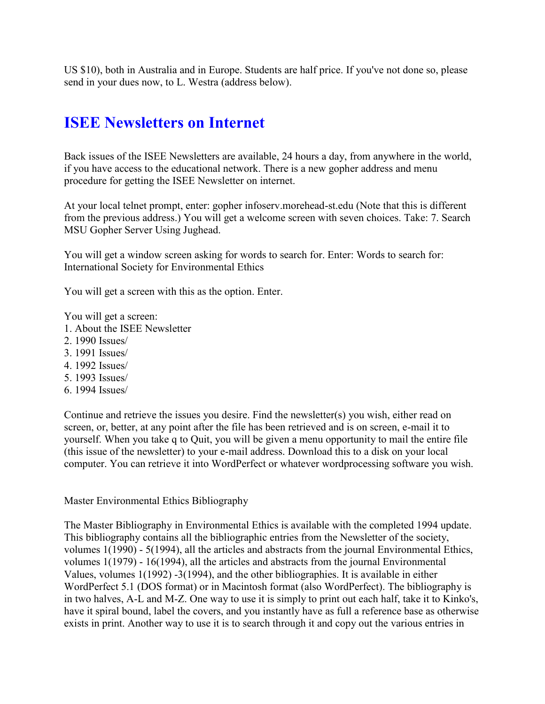US \$10), both in Australia and in Europe. Students are half price. If you've not done so, please send in your dues now, to L. Westra (address below).

# **ISEE Newsletters on Internet**

Back issues of the ISEE Newsletters are available, 24 hours a day, from anywhere in the world, if you have access to the educational network. There is a new gopher address and menu procedure for getting the ISEE Newsletter on internet.

At your local telnet prompt, enter: gopher infoserv.morehead-st.edu (Note that this is different from the previous address.) You will get a welcome screen with seven choices. Take: 7. Search MSU Gopher Server Using Jughead.

You will get a window screen asking for words to search for. Enter: Words to search for: International Society for Environmental Ethics

You will get a screen with this as the option. Enter.

You will get a screen:

- 1. About the ISEE Newsletter
- 2. 1990 Issues/
- 3. 1991 Issues/
- 4. 1992 Issues/
- 5. 1993 Issues/
- 6. 1994 Issues/

Continue and retrieve the issues you desire. Find the newsletter(s) you wish, either read on screen, or, better, at any point after the file has been retrieved and is on screen, e-mail it to yourself. When you take q to Quit, you will be given a menu opportunity to mail the entire file (this issue of the newsletter) to your e-mail address. Download this to a disk on your local computer. You can retrieve it into WordPerfect or whatever wordprocessing software you wish.

#### Master Environmental Ethics Bibliography

The Master Bibliography in Environmental Ethics is available with the completed 1994 update. This bibliography contains all the bibliographic entries from the Newsletter of the society, volumes 1(1990) - 5(1994), all the articles and abstracts from the journal Environmental Ethics, volumes 1(1979) - 16(1994), all the articles and abstracts from the journal Environmental Values, volumes 1(1992) -3(1994), and the other bibliographies. It is available in either WordPerfect 5.1 (DOS format) or in Macintosh format (also WordPerfect). The bibliography is in two halves, A-L and M-Z. One way to use it is simply to print out each half, take it to Kinko's, have it spiral bound, label the covers, and you instantly have as full a reference base as otherwise exists in print. Another way to use it is to search through it and copy out the various entries in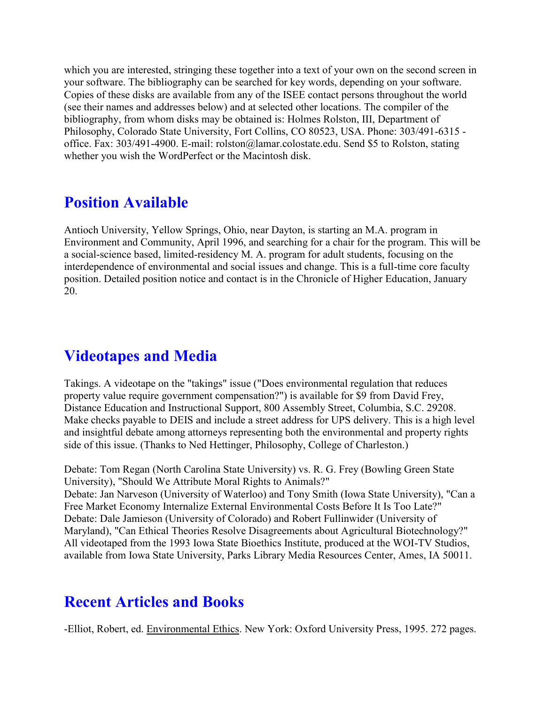which you are interested, stringing these together into a text of your own on the second screen in your software. The bibliography can be searched for key words, depending on your software. Copies of these disks are available from any of the ISEE contact persons throughout the world (see their names and addresses below) and at selected other locations. The compiler of the bibliography, from whom disks may be obtained is: Holmes Rolston, III, Department of Philosophy, Colorado State University, Fort Collins, CO 80523, USA. Phone: 303/491-6315 office. Fax: 303/491-4900. E-mail: rolston@lamar.colostate.edu. Send \$5 to Rolston, stating whether you wish the WordPerfect or the Macintosh disk.

# **Position Available**

Antioch University, Yellow Springs, Ohio, near Dayton, is starting an M.A. program in Environment and Community, April 1996, and searching for a chair for the program. This will be a social-science based, limited-residency M. A. program for adult students, focusing on the interdependence of environmental and social issues and change. This is a full-time core faculty position. Detailed position notice and contact is in the Chronicle of Higher Education, January 20.

# **Videotapes and Media**

Takings. A videotape on the "takings" issue ("Does environmental regulation that reduces property value require government compensation?") is available for \$9 from David Frey, Distance Education and Instructional Support, 800 Assembly Street, Columbia, S.C. 29208. Make checks payable to DEIS and include a street address for UPS delivery. This is a high level and insightful debate among attorneys representing both the environmental and property rights side of this issue. (Thanks to Ned Hettinger, Philosophy, College of Charleston.)

Debate: Tom Regan (North Carolina State University) vs. R. G. Frey (Bowling Green State University), "Should We Attribute Moral Rights to Animals?" Debate: Jan Narveson (University of Waterloo) and Tony Smith (Iowa State University), "Can a Free Market Economy Internalize External Environmental Costs Before It Is Too Late?" Debate: Dale Jamieson (University of Colorado) and Robert Fullinwider (University of Maryland), "Can Ethical Theories Resolve Disagreements about Agricultural Biotechnology?" All videotaped from the 1993 Iowa State Bioethics Institute, produced at the WOI-TV Studios, available from Iowa State University, Parks Library Media Resources Center, Ames, IA 50011.

# **Recent Articles and Books**

-Elliot, Robert, ed. Environmental Ethics. New York: Oxford University Press, 1995. 272 pages.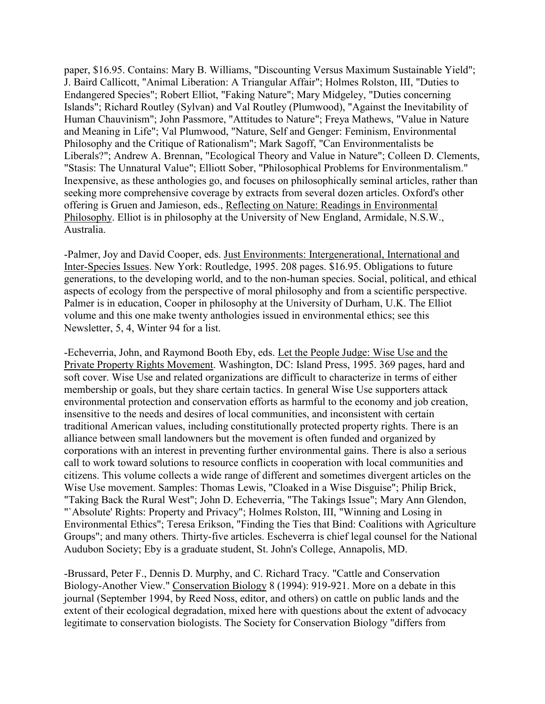paper, \$16.95. Contains: Mary B. Williams, "Discounting Versus Maximum Sustainable Yield"; J. Baird Callicott, "Animal Liberation: A Triangular Affair"; Holmes Rolston, III, "Duties to Endangered Species"; Robert Elliot, "Faking Nature"; Mary Midgeley, "Duties concerning Islands"; Richard Routley (Sylvan) and Val Routley (Plumwood), "Against the Inevitability of Human Chauvinism"; John Passmore, "Attitudes to Nature"; Freya Mathews, "Value in Nature and Meaning in Life"; Val Plumwood, "Nature, Self and Genger: Feminism, Environmental Philosophy and the Critique of Rationalism"; Mark Sagoff, "Can Environmentalists be Liberals?"; Andrew A. Brennan, "Ecological Theory and Value in Nature"; Colleen D. Clements, "Stasis: The Unnatural Value"; Elliott Sober, "Philosophical Problems for Environmentalism." Inexpensive, as these anthologies go, and focuses on philosophically seminal articles, rather than seeking more comprehensive coverage by extracts from several dozen articles. Oxford's other offering is Gruen and Jamieson, eds., Reflecting on Nature: Readings in Environmental Philosophy. Elliot is in philosophy at the University of New England, Armidale, N.S.W., Australia.

-Palmer, Joy and David Cooper, eds. Just Environments: Intergenerational, International and Inter-Species Issues. New York: Routledge, 1995. 208 pages. \$16.95. Obligations to future generations, to the developing world, and to the non-human species. Social, political, and ethical aspects of ecology from the perspective of moral philosophy and from a scientific perspective. Palmer is in education, Cooper in philosophy at the University of Durham, U.K. The Elliot volume and this one make twenty anthologies issued in environmental ethics; see this Newsletter, 5, 4, Winter 94 for a list.

-Echeverria, John, and Raymond Booth Eby, eds. Let the People Judge: Wise Use and the Private Property Rights Movement. Washington, DC: Island Press, 1995. 369 pages, hard and soft cover. Wise Use and related organizations are difficult to characterize in terms of either membership or goals, but they share certain tactics. In general Wise Use supporters attack environmental protection and conservation efforts as harmful to the economy and job creation, insensitive to the needs and desires of local communities, and inconsistent with certain traditional American values, including constitutionally protected property rights. There is an alliance between small landowners but the movement is often funded and organized by corporations with an interest in preventing further environmental gains. There is also a serious call to work toward solutions to resource conflicts in cooperation with local communities and citizens. This volume collects a wide range of different and sometimes divergent articles on the Wise Use movement. Samples: Thomas Lewis, "Cloaked in a Wise Disguise"; Philip Brick, "Taking Back the Rural West"; John D. Echeverria, "The Takings Issue"; Mary Ann Glendon, "`Absolute' Rights: Property and Privacy"; Holmes Rolston, III, "Winning and Losing in Environmental Ethics"; Teresa Erikson, "Finding the Ties that Bind: Coalitions with Agriculture Groups"; and many others. Thirty-five articles. Escheverra is chief legal counsel for the National Audubon Society; Eby is a graduate student, St. John's College, Annapolis, MD.

-Brussard, Peter F., Dennis D. Murphy, and C. Richard Tracy. "Cattle and Conservation Biology-Another View." Conservation Biology 8 (1994): 919-921. More on a debate in this journal (September 1994, by Reed Noss, editor, and others) on cattle on public lands and the extent of their ecological degradation, mixed here with questions about the extent of advocacy legitimate to conservation biologists. The Society for Conservation Biology "differs from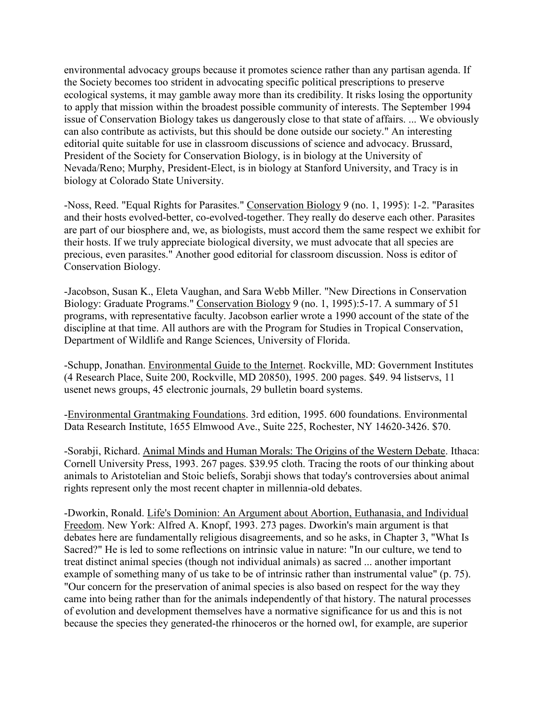environmental advocacy groups because it promotes science rather than any partisan agenda. If the Society becomes too strident in advocating specific political prescriptions to preserve ecological systems, it may gamble away more than its credibility. It risks losing the opportunity to apply that mission within the broadest possible community of interests. The September 1994 issue of Conservation Biology takes us dangerously close to that state of affairs. ... We obviously can also contribute as activists, but this should be done outside our society." An interesting editorial quite suitable for use in classroom discussions of science and advocacy. Brussard, President of the Society for Conservation Biology, is in biology at the University of Nevada/Reno; Murphy, President-Elect, is in biology at Stanford University, and Tracy is in biology at Colorado State University.

-Noss, Reed. "Equal Rights for Parasites." Conservation Biology 9 (no. 1, 1995): 1-2. "Parasites and their hosts evolved-better, co-evolved-together. They really do deserve each other. Parasites are part of our biosphere and, we, as biologists, must accord them the same respect we exhibit for their hosts. If we truly appreciate biological diversity, we must advocate that all species are precious, even parasites." Another good editorial for classroom discussion. Noss is editor of Conservation Biology.

-Jacobson, Susan K., Eleta Vaughan, and Sara Webb Miller. "New Directions in Conservation Biology: Graduate Programs." Conservation Biology 9 (no. 1, 1995):5-17. A summary of 51 programs, with representative faculty. Jacobson earlier wrote a 1990 account of the state of the discipline at that time. All authors are with the Program for Studies in Tropical Conservation, Department of Wildlife and Range Sciences, University of Florida.

-Schupp, Jonathan. Environmental Guide to the Internet. Rockville, MD: Government Institutes (4 Research Place, Suite 200, Rockville, MD 20850), 1995. 200 pages. \$49. 94 listservs, 11 usenet news groups, 45 electronic journals, 29 bulletin board systems.

-Environmental Grantmaking Foundations. 3rd edition, 1995. 600 foundations. Environmental Data Research Institute, 1655 Elmwood Ave., Suite 225, Rochester, NY 14620-3426. \$70.

-Sorabji, Richard. Animal Minds and Human Morals: The Origins of the Western Debate. Ithaca: Cornell University Press, 1993. 267 pages. \$39.95 cloth. Tracing the roots of our thinking about animals to Aristotelian and Stoic beliefs, Sorabji shows that today's controversies about animal rights represent only the most recent chapter in millennia-old debates.

-Dworkin, Ronald. Life's Dominion: An Argument about Abortion, Euthanasia, and Individual Freedom. New York: Alfred A. Knopf, 1993. 273 pages. Dworkin's main argument is that debates here are fundamentally religious disagreements, and so he asks, in Chapter 3, "What Is Sacred?" He is led to some reflections on intrinsic value in nature: "In our culture, we tend to treat distinct animal species (though not individual animals) as sacred ... another important example of something many of us take to be of intrinsic rather than instrumental value" (p. 75). "Our concern for the preservation of animal species is also based on respect for the way they came into being rather than for the animals independently of that history. The natural processes of evolution and development themselves have a normative significance for us and this is not because the species they generated-the rhinoceros or the horned owl, for example, are superior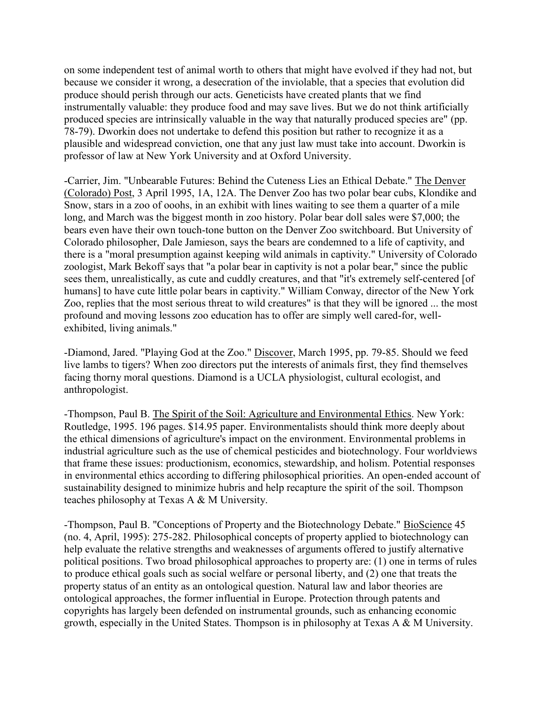on some independent test of animal worth to others that might have evolved if they had not, but because we consider it wrong, a desecration of the inviolable, that a species that evolution did produce should perish through our acts. Geneticists have created plants that we find instrumentally valuable: they produce food and may save lives. But we do not think artificially produced species are intrinsically valuable in the way that naturally produced species are" (pp. 78-79). Dworkin does not undertake to defend this position but rather to recognize it as a plausible and widespread conviction, one that any just law must take into account. Dworkin is professor of law at New York University and at Oxford University.

-Carrier, Jim. "Unbearable Futures: Behind the Cuteness Lies an Ethical Debate." The Denver (Colorado) Post, 3 April 1995, 1A, 12A. The Denver Zoo has two polar bear cubs, Klondike and Snow, stars in a zoo of ooohs, in an exhibit with lines waiting to see them a quarter of a mile long, and March was the biggest month in zoo history. Polar bear doll sales were \$7,000; the bears even have their own touch-tone button on the Denver Zoo switchboard. But University of Colorado philosopher, Dale Jamieson, says the bears are condemned to a life of captivity, and there is a "moral presumption against keeping wild animals in captivity." University of Colorado zoologist, Mark Bekoff says that "a polar bear in captivity is not a polar bear," since the public sees them, unrealistically, as cute and cuddly creatures, and that "it's extremely self-centered [of humans] to have cute little polar bears in captivity." William Conway, director of the New York Zoo, replies that the most serious threat to wild creatures" is that they will be ignored ... the most profound and moving lessons zoo education has to offer are simply well cared-for, wellexhibited, living animals."

-Diamond, Jared. "Playing God at the Zoo." Discover, March 1995, pp. 79-85. Should we feed live lambs to tigers? When zoo directors put the interests of animals first, they find themselves facing thorny moral questions. Diamond is a UCLA physiologist, cultural ecologist, and anthropologist.

-Thompson, Paul B. The Spirit of the Soil: Agriculture and Environmental Ethics. New York: Routledge, 1995. 196 pages. \$14.95 paper. Environmentalists should think more deeply about the ethical dimensions of agriculture's impact on the environment. Environmental problems in industrial agriculture such as the use of chemical pesticides and biotechnology. Four worldviews that frame these issues: productionism, economics, stewardship, and holism. Potential responses in environmental ethics according to differing philosophical priorities. An open-ended account of sustainability designed to minimize hubris and help recapture the spirit of the soil. Thompson teaches philosophy at Texas A & M University.

-Thompson, Paul B. "Conceptions of Property and the Biotechnology Debate." BioScience 45 (no. 4, April, 1995): 275-282. Philosophical concepts of property applied to biotechnology can help evaluate the relative strengths and weaknesses of arguments offered to justify alternative political positions. Two broad philosophical approaches to property are: (1) one in terms of rules to produce ethical goals such as social welfare or personal liberty, and (2) one that treats the property status of an entity as an ontological question. Natural law and labor theories are ontological approaches, the former influential in Europe. Protection through patents and copyrights has largely been defended on instrumental grounds, such as enhancing economic growth, especially in the United States. Thompson is in philosophy at Texas A & M University.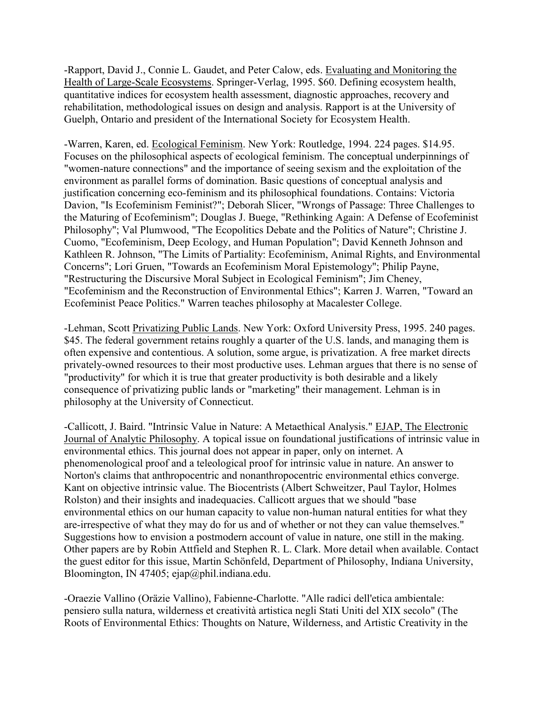-Rapport, David J., Connie L. Gaudet, and Peter Calow, eds. Evaluating and Monitoring the Health of Large-Scale Ecosystems. Springer-Verlag, 1995. \$60. Defining ecosystem health, quantitative indices for ecosystem health assessment, diagnostic approaches, recovery and rehabilitation, methodological issues on design and analysis. Rapport is at the University of Guelph, Ontario and president of the International Society for Ecosystem Health.

-Warren, Karen, ed. Ecological Feminism. New York: Routledge, 1994. 224 pages. \$14.95. Focuses on the philosophical aspects of ecological feminism. The conceptual underpinnings of "women-nature connections" and the importance of seeing sexism and the exploitation of the environment as parallel forms of domination. Basic questions of conceptual analysis and justification concerning eco-feminism and its philosophical foundations. Contains: Victoria Davion, "Is Ecofeminism Feminist?"; Deborah Slicer, "Wrongs of Passage: Three Challenges to the Maturing of Ecofeminism"; Douglas J. Buege, "Rethinking Again: A Defense of Ecofeminist Philosophy"; Val Plumwood, "The Ecopolitics Debate and the Politics of Nature"; Christine J. Cuomo, "Ecofeminism, Deep Ecology, and Human Population"; David Kenneth Johnson and Kathleen R. Johnson, "The Limits of Partiality: Ecofeminism, Animal Rights, and Environmental Concerns"; Lori Gruen, "Towards an Ecofeminism Moral Epistemology"; Philip Payne, "Restructuring the Discursive Moral Subject in Ecological Feminism"; Jim Cheney, "Ecofeminism and the Reconstruction of Environmental Ethics"; Karren J. Warren, "Toward an Ecofeminist Peace Politics." Warren teaches philosophy at Macalester College.

-Lehman, Scott Privatizing Public Lands. New York: Oxford University Press, 1995. 240 pages. \$45. The federal government retains roughly a quarter of the U.S. lands, and managing them is often expensive and contentious. A solution, some argue, is privatization. A free market directs privately-owned resources to their most productive uses. Lehman argues that there is no sense of "productivity" for which it is true that greater productivity is both desirable and a likely consequence of privatizing public lands or "marketing" their management. Lehman is in philosophy at the University of Connecticut.

-Callicott, J. Baird. "Intrinsic Value in Nature: A Metaethical Analysis." EJAP, The Electronic Journal of Analytic Philosophy. A topical issue on foundational justifications of intrinsic value in environmental ethics. This journal does not appear in paper, only on internet. A phenomenological proof and a teleological proof for intrinsic value in nature. An answer to Norton's claims that anthropocentric and nonanthropocentric environmental ethics converge. Kant on objective intrinsic value. The Biocentrists (Albert Schweitzer, Paul Taylor, Holmes Rolston) and their insights and inadequacies. Callicott argues that we should "base environmental ethics on our human capacity to value non-human natural entities for what they are-irrespective of what they may do for us and of whether or not they can value themselves." Suggestions how to envision a postmodern account of value in nature, one still in the making. Other papers are by Robin Attfield and Stephen R. L. Clark. More detail when available. Contact the guest editor for this issue, Martin Schönfeld, Department of Philosophy, Indiana University, Bloomington, IN 47405; ejap@phil.indiana.edu.

-Oraezie Vallino (Oräzie Vallino), Fabienne-Charlotte. "Alle radici dell'etica ambientale: pensiero sulla natura, wilderness et creatività artistica negli Stati Uniti del XIX secolo" (The Roots of Environmental Ethics: Thoughts on Nature, Wilderness, and Artistic Creativity in the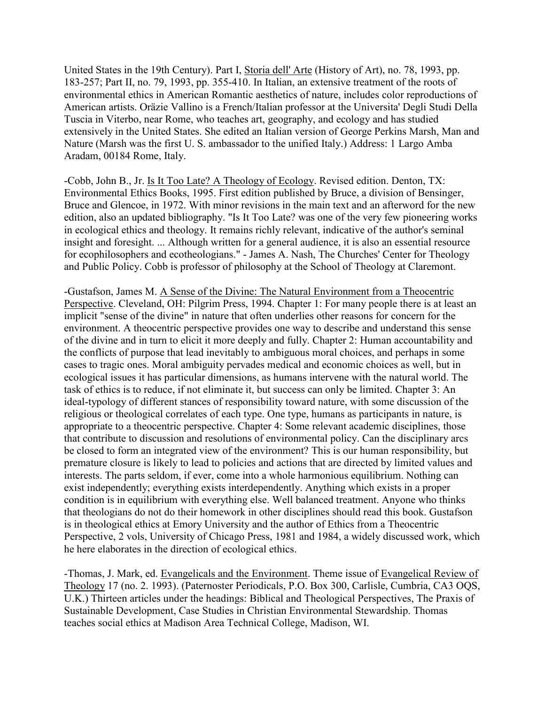United States in the 19th Century). Part I, Storia dell' Arte (History of Art), no. 78, 1993, pp. 183-257; Part II, no. 79, 1993, pp. 355-410. In Italian, an extensive treatment of the roots of environmental ethics in American Romantic aesthetics of nature, includes color reproductions of American artists. Oräzie Vallino is a French/Italian professor at the Universita' Degli Studi Della Tuscia in Viterbo, near Rome, who teaches art, geography, and ecology and has studied extensively in the United States. She edited an Italian version of George Perkins Marsh, Man and Nature (Marsh was the first U. S. ambassador to the unified Italy.) Address: 1 Largo Amba Aradam, 00184 Rome, Italy.

-Cobb, John B., Jr. Is It Too Late? A Theology of Ecology. Revised edition. Denton, TX: Environmental Ethics Books, 1995. First edition published by Bruce, a division of Bensinger, Bruce and Glencoe, in 1972. With minor revisions in the main text and an afterword for the new edition, also an updated bibliography. "Is It Too Late? was one of the very few pioneering works in ecological ethics and theology. It remains richly relevant, indicative of the author's seminal insight and foresight. ... Although written for a general audience, it is also an essential resource for ecophilosophers and ecotheologians." - James A. Nash, The Churches' Center for Theology and Public Policy. Cobb is professor of philosophy at the School of Theology at Claremont.

-Gustafson, James M. A Sense of the Divine: The Natural Environment from a Theocentric Perspective. Cleveland, OH: Pilgrim Press, 1994. Chapter 1: For many people there is at least an implicit "sense of the divine" in nature that often underlies other reasons for concern for the environment. A theocentric perspective provides one way to describe and understand this sense of the divine and in turn to elicit it more deeply and fully. Chapter 2: Human accountability and the conflicts of purpose that lead inevitably to ambiguous moral choices, and perhaps in some cases to tragic ones. Moral ambiguity pervades medical and economic choices as well, but in ecological issues it has particular dimensions, as humans intervene with the natural world. The task of ethics is to reduce, if not eliminate it, but success can only be limited. Chapter 3: An ideal-typology of different stances of responsibility toward nature, with some discussion of the religious or theological correlates of each type. One type, humans as participants in nature, is appropriate to a theocentric perspective. Chapter 4: Some relevant academic disciplines, those that contribute to discussion and resolutions of environmental policy. Can the disciplinary arcs be closed to form an integrated view of the environment? This is our human responsibility, but premature closure is likely to lead to policies and actions that are directed by limited values and interests. The parts seldom, if ever, come into a whole harmonious equilibrium. Nothing can exist independently; everything exists interdependently. Anything which exists in a proper condition is in equilibrium with everything else. Well balanced treatment. Anyone who thinks that theologians do not do their homework in other disciplines should read this book. Gustafson is in theological ethics at Emory University and the author of Ethics from a Theocentric Perspective, 2 vols, University of Chicago Press, 1981 and 1984, a widely discussed work, which he here elaborates in the direction of ecological ethics.

-Thomas, J. Mark, ed. Evangelicals and the Environment. Theme issue of Evangelical Review of Theology 17 (no. 2. 1993). (Paternoster Periodicals, P.O. Box 300, Carlisle, Cumbria, CA3 OQS, U.K.) Thirteen articles under the headings: Biblical and Theological Perspectives, The Praxis of Sustainable Development, Case Studies in Christian Environmental Stewardship. Thomas teaches social ethics at Madison Area Technical College, Madison, WI.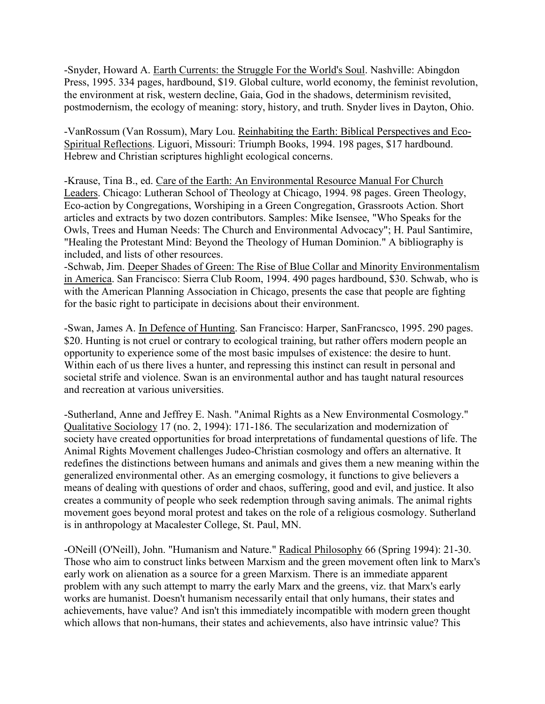-Snyder, Howard A. Earth Currents: the Struggle For the World's Soul. Nashville: Abingdon Press, 1995. 334 pages, hardbound, \$19. Global culture, world economy, the feminist revolution, the environment at risk, western decline, Gaia, God in the shadows, determinism revisited, postmodernism, the ecology of meaning: story, history, and truth. Snyder lives in Dayton, Ohio.

-VanRossum (Van Rossum), Mary Lou. Reinhabiting the Earth: Biblical Perspectives and Eco-Spiritual Reflections. Liguori, Missouri: Triumph Books, 1994. 198 pages, \$17 hardbound. Hebrew and Christian scriptures highlight ecological concerns.

-Krause, Tina B., ed. Care of the Earth: An Environmental Resource Manual For Church Leaders. Chicago: Lutheran School of Theology at Chicago, 1994. 98 pages. Green Theology, Eco-action by Congregations, Worshiping in a Green Congregation, Grassroots Action. Short articles and extracts by two dozen contributors. Samples: Mike Isensee, "Who Speaks for the Owls, Trees and Human Needs: The Church and Environmental Advocacy"; H. Paul Santimire, "Healing the Protestant Mind: Beyond the Theology of Human Dominion." A bibliography is included, and lists of other resources.

-Schwab, Jim. Deeper Shades of Green: The Rise of Blue Collar and Minority Environmentalism in America. San Francisco: Sierra Club Room, 1994. 490 pages hardbound, \$30. Schwab, who is with the American Planning Association in Chicago, presents the case that people are fighting for the basic right to participate in decisions about their environment.

-Swan, James A. In Defence of Hunting. San Francisco: Harper, SanFrancsco, 1995. 290 pages. \$20. Hunting is not cruel or contrary to ecological training, but rather offers modern people an opportunity to experience some of the most basic impulses of existence: the desire to hunt. Within each of us there lives a hunter, and repressing this instinct can result in personal and societal strife and violence. Swan is an environmental author and has taught natural resources and recreation at various universities.

-Sutherland, Anne and Jeffrey E. Nash. "Animal Rights as a New Environmental Cosmology." Qualitative Sociology 17 (no. 2, 1994): 171-186. The secularization and modernization of society have created opportunities for broad interpretations of fundamental questions of life. The Animal Rights Movement challenges Judeo-Christian cosmology and offers an alternative. It redefines the distinctions between humans and animals and gives them a new meaning within the generalized environmental other. As an emerging cosmology, it functions to give believers a means of dealing with questions of order and chaos, suffering, good and evil, and justice. It also creates a community of people who seek redemption through saving animals. The animal rights movement goes beyond moral protest and takes on the role of a religious cosmology. Sutherland is in anthropology at Macalester College, St. Paul, MN.

-ONeill (O'Neill), John. "Humanism and Nature." Radical Philosophy 66 (Spring 1994): 21-30. Those who aim to construct links between Marxism and the green movement often link to Marx's early work on alienation as a source for a green Marxism. There is an immediate apparent problem with any such attempt to marry the early Marx and the greens, viz. that Marx's early works are humanist. Doesn't humanism necessarily entail that only humans, their states and achievements, have value? And isn't this immediately incompatible with modern green thought which allows that non-humans, their states and achievements, also have intrinsic value? This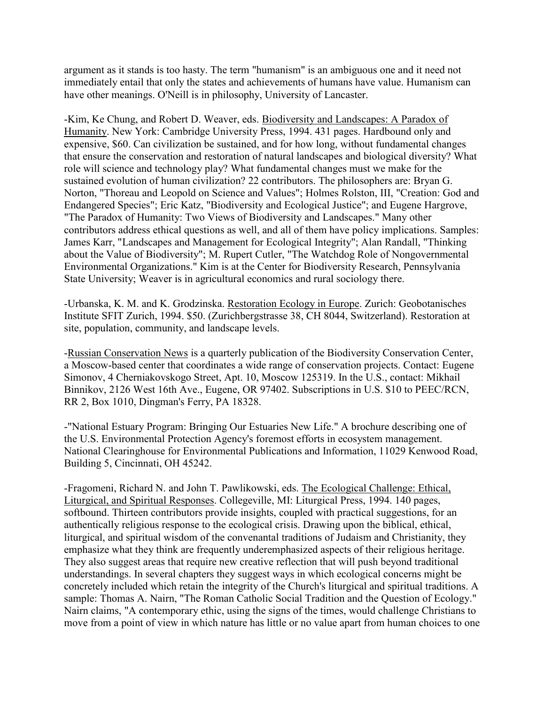argument as it stands is too hasty. The term "humanism" is an ambiguous one and it need not immediately entail that only the states and achievements of humans have value. Humanism can have other meanings. O'Neill is in philosophy, University of Lancaster.

-Kim, Ke Chung, and Robert D. Weaver, eds. Biodiversity and Landscapes: A Paradox of Humanity. New York: Cambridge University Press, 1994. 431 pages. Hardbound only and expensive, \$60. Can civilization be sustained, and for how long, without fundamental changes that ensure the conservation and restoration of natural landscapes and biological diversity? What role will science and technology play? What fundamental changes must we make for the sustained evolution of human civilization? 22 contributors. The philosophers are: Bryan G. Norton, "Thoreau and Leopold on Science and Values"; Holmes Rolston, III, "Creation: God and Endangered Species"; Eric Katz, "Biodiversity and Ecological Justice"; and Eugene Hargrove, "The Paradox of Humanity: Two Views of Biodiversity and Landscapes." Many other contributors address ethical questions as well, and all of them have policy implications. Samples: James Karr, "Landscapes and Management for Ecological Integrity"; Alan Randall, "Thinking about the Value of Biodiversity"; M. Rupert Cutler, "The Watchdog Role of Nongovernmental Environmental Organizations." Kim is at the Center for Biodiversity Research, Pennsylvania State University; Weaver is in agricultural economics and rural sociology there.

-Urbanska, K. M. and K. Grodzinska. Restoration Ecology in Europe. Zurich: Geobotanisches Institute SFIT Zurich, 1994. \$50. (Zurichbergstrasse 38, CH 8044, Switzerland). Restoration at site, population, community, and landscape levels.

-Russian Conservation News is a quarterly publication of the Biodiversity Conservation Center, a Moscow-based center that coordinates a wide range of conservation projects. Contact: Eugene Simonov, 4 Cherniakovskogo Street, Apt. 10, Moscow 125319. In the U.S., contact: Mikhail Binnikov, 2126 West 16th Ave., Eugene, OR 97402. Subscriptions in U.S. \$10 to PEEC/RCN, RR 2, Box 1010, Dingman's Ferry, PA 18328.

-"National Estuary Program: Bringing Our Estuaries New Life." A brochure describing one of the U.S. Environmental Protection Agency's foremost efforts in ecosystem management. National Clearinghouse for Environmental Publications and Information, 11029 Kenwood Road, Building 5, Cincinnati, OH 45242.

-Fragomeni, Richard N. and John T. Pawlikowski, eds. The Ecological Challenge: Ethical, Liturgical, and Spiritual Responses. Collegeville, MI: Liturgical Press, 1994. 140 pages, softbound. Thirteen contributors provide insights, coupled with practical suggestions, for an authentically religious response to the ecological crisis. Drawing upon the biblical, ethical, liturgical, and spiritual wisdom of the convenantal traditions of Judaism and Christianity, they emphasize what they think are frequently underemphasized aspects of their religious heritage. They also suggest areas that require new creative reflection that will push beyond traditional understandings. In several chapters they suggest ways in which ecological concerns might be concretely included which retain the integrity of the Church's liturgical and spiritual traditions. A sample: Thomas A. Nairn, "The Roman Catholic Social Tradition and the Question of Ecology." Nairn claims, "A contemporary ethic, using the signs of the times, would challenge Christians to move from a point of view in which nature has little or no value apart from human choices to one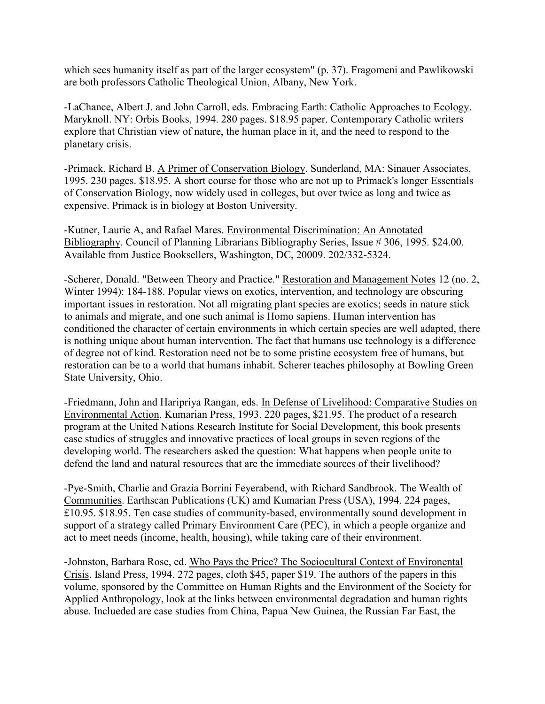which sees humanity itself as part of the larger ecosystem" (p. 37). Fragomeni and Pawlikowski are both professors Catholic Theological Union, Albany, New York.

-LaChance, Albert J. and John Carroll, eds. Embracing Earth: Catholic Approaches to Ecology. Maryknoll. NY: Orbis Books, 1994. 280 pages. \$18.95 paper. Contemporary Catholic writers explore that Christian view of nature, the human place in it, and the need to respond to the planetary crisis.

-Primack, Richard B. A Primer of Conservation Biology. Sunderland, MA: Sinauer Associates, 1995. 230 pages. \$18.95. A short course for those who are not up to Primack's longer Essentials of Conservation Biology, now widely used in colleges, but over twice as long and twice as expensive. Primack is in biology at Boston University.

-Kutner, Laurie A, and Rafael Mares. Environmental Discrimination: An Annotated Bibliography. Council of Planning Librarians Bibliography Series, Issue # 306, 1995. \$24.00. Available from Justice Booksellers, Washington, DC, 20009. 202/332-5324.

-Scherer, Donald. "Between Theory and Practice." Restoration and Management Notes 12 (no. 2, Winter 1994): 184-188. Popular views on exotics, intervention, and technology are obscuring important issues in restoration. Not all migrating plant species are exotics; seeds in nature stick to animals and migrate, and one such animal is Homo sapiens. Human intervention has conditioned the character of certain environments in which certain species are well adapted, there is nothing unique about human intervention. The fact that humans use technology is a difference of degree not of kind. Restoration need not be to some pristine ecosystem free of humans, but restoration can be to a world that humans inhabit. Scherer teaches philosophy at Bowling Green State University, Ohio.

-Friedmann, John and Haripriya Rangan, eds. In Defense of Livelihood: Comparative Studies on Environmental Action. Kumarian Press, 1993. 220 pages, \$21.95. The product of a research program at the United Nations Research Institute for Social Development, this book presents case studies of struggles and innovative practices of local groups in seven regions of the developing world. The researchers asked the question: What happens when people unite to defend the land and natural resources that are the immediate sources of their livelihood?

-Pye-Smith, Charlie and Grazia Borrini Feyerabend, with Richard Sandbrook. The Wealth of Communities. Earthscan Publications (UK) amd Kumarian Press (USA), 1994. 224 pages, £10.95. \$18.95. Ten case studies of community-based, environmentally sound development in support of a strategy called Primary Environment Care (PEC), in which a people organize and act to meet needs (income, health, housing), while taking care of their environment.

-Johnston, Barbara Rose, ed. Who Pays the Price? The Sociocultural Context of Environental Crisis. Island Press, 1994. 272 pages, cloth \$45, paper \$19. The authors of the papers in this volume, sponsored by the Committee on Human Rights and the Environment of the Society for Applied Anthropology, look at the links between environmental degradation and human rights abuse. Inclueded are case studies from China, Papua New Guinea, the Russian Far East, the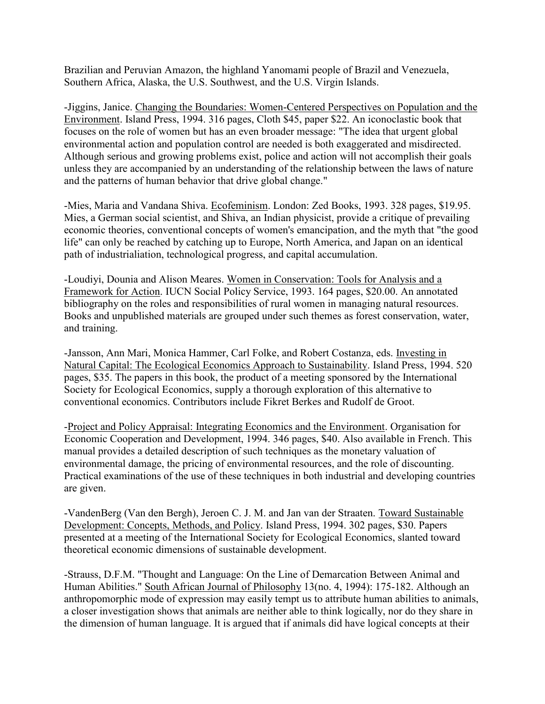Brazilian and Peruvian Amazon, the highland Yanomami people of Brazil and Venezuela, Southern Africa, Alaska, the U.S. Southwest, and the U.S. Virgin Islands.

-Jiggins, Janice. Changing the Boundaries: Women-Centered Perspectives on Population and the Environment. Island Press, 1994. 316 pages, Cloth \$45, paper \$22. An iconoclastic book that focuses on the role of women but has an even broader message: "The idea that urgent global environmental action and population control are needed is both exaggerated and misdirected. Although serious and growing problems exist, police and action will not accomplish their goals unless they are accompanied by an understanding of the relationship between the laws of nature and the patterns of human behavior that drive global change."

-Mies, Maria and Vandana Shiva. Ecofeminism. London: Zed Books, 1993. 328 pages, \$19.95. Mies, a German social scientist, and Shiva, an Indian physicist, provide a critique of prevailing economic theories, conventional concepts of women's emancipation, and the myth that "the good life" can only be reached by catching up to Europe, North America, and Japan on an identical path of industrialiation, technological progress, and capital accumulation.

-Loudiyi, Dounia and Alison Meares. Women in Conservation: Tools for Analysis and a Framework for Action. IUCN Social Policy Service, 1993. 164 pages, \$20.00. An annotated bibliography on the roles and responsibilities of rural women in managing natural resources. Books and unpublished materials are grouped under such themes as forest conservation, water, and training.

-Jansson, Ann Mari, Monica Hammer, Carl Folke, and Robert Costanza, eds. Investing in Natural Capital: The Ecological Economics Approach to Sustainability. Island Press, 1994. 520 pages, \$35. The papers in this book, the product of a meeting sponsored by the International Society for Ecological Economics, supply a thorough exploration of this alternative to conventional economics. Contributors include Fikret Berkes and Rudolf de Groot.

-Project and Policy Appraisal: Integrating Economics and the Environment. Organisation for Economic Cooperation and Development, 1994. 346 pages, \$40. Also available in French. This manual provides a detailed description of such techniques as the monetary valuation of environmental damage, the pricing of environmental resources, and the role of discounting. Practical examinations of the use of these techniques in both industrial and developing countries are given.

-VandenBerg (Van den Bergh), Jeroen C. J. M. and Jan van der Straaten. Toward Sustainable Development: Concepts, Methods, and Policy. Island Press, 1994. 302 pages, \$30. Papers presented at a meeting of the International Society for Ecological Economics, slanted toward theoretical economic dimensions of sustainable development.

-Strauss, D.F.M. "Thought and Language: On the Line of Demarcation Between Animal and Human Abilities." South African Journal of Philosophy 13(no. 4, 1994): 175-182. Although an anthropomorphic mode of expression may easily tempt us to attribute human abilities to animals, a closer investigation shows that animals are neither able to think logically, nor do they share in the dimension of human language. It is argued that if animals did have logical concepts at their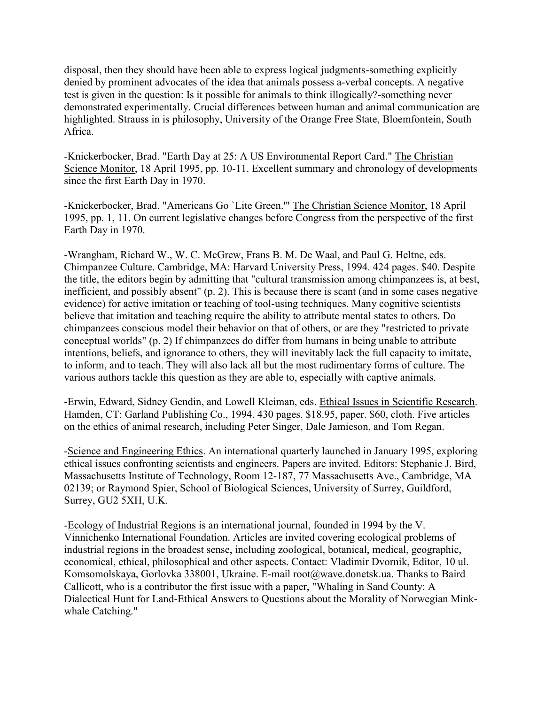disposal, then they should have been able to express logical judgments-something explicitly denied by prominent advocates of the idea that animals possess a-verbal concepts. A negative test is given in the question: Is it possible for animals to think illogically?-something never demonstrated experimentally. Crucial differences between human and animal communication are highlighted. Strauss in is philosophy, University of the Orange Free State, Bloemfontein, South Africa.

-Knickerbocker, Brad. "Earth Day at 25: A US Environmental Report Card." The Christian Science Monitor, 18 April 1995, pp. 10-11. Excellent summary and chronology of developments since the first Earth Day in 1970.

-Knickerbocker, Brad. "Americans Go `Lite Green.'" The Christian Science Monitor, 18 April 1995, pp. 1, 11. On current legislative changes before Congress from the perspective of the first Earth Day in 1970.

-Wrangham, Richard W., W. C. McGrew, Frans B. M. De Waal, and Paul G. Heltne, eds. Chimpanzee Culture. Cambridge, MA: Harvard University Press, 1994. 424 pages. \$40. Despite the title, the editors begin by admitting that "cultural transmission among chimpanzees is, at best, inefficient, and possibly absent" (p. 2). This is because there is scant (and in some cases negative evidence) for active imitation or teaching of tool-using techniques. Many cognitive scientists believe that imitation and teaching require the ability to attribute mental states to others. Do chimpanzees conscious model their behavior on that of others, or are they "restricted to private conceptual worlds" (p. 2) If chimpanzees do differ from humans in being unable to attribute intentions, beliefs, and ignorance to others, they will inevitably lack the full capacity to imitate, to inform, and to teach. They will also lack all but the most rudimentary forms of culture. The various authors tackle this question as they are able to, especially with captive animals.

-Erwin, Edward, Sidney Gendin, and Lowell Kleiman, eds. Ethical Issues in Scientific Research. Hamden, CT: Garland Publishing Co., 1994. 430 pages. \$18.95, paper. \$60, cloth. Five articles on the ethics of animal research, including Peter Singer, Dale Jamieson, and Tom Regan.

-Science and Engineering Ethics. An international quarterly launched in January 1995, exploring ethical issues confronting scientists and engineers. Papers are invited. Editors: Stephanie J. Bird, Massachusetts Institute of Technology, Room 12-187, 77 Massachusetts Ave., Cambridge, MA 02139; or Raymond Spier, School of Biological Sciences, University of Surrey, Guildford, Surrey, GU2 5XH, U.K.

-Ecology of Industrial Regions is an international journal, founded in 1994 by the V. Vinnichenko International Foundation. Articles are invited covering ecological problems of industrial regions in the broadest sense, including zoological, botanical, medical, geographic, economical, ethical, philosophical and other aspects. Contact: Vladimir Dvornik, Editor, 10 ul. Komsomolskaya, Gorlovka 338001, Ukraine. E-mail root@wave.donetsk.ua. Thanks to Baird Callicott, who is a contributor the first issue with a paper, "Whaling in Sand County: A Dialectical Hunt for Land-Ethical Answers to Questions about the Morality of Norwegian Minkwhale Catching."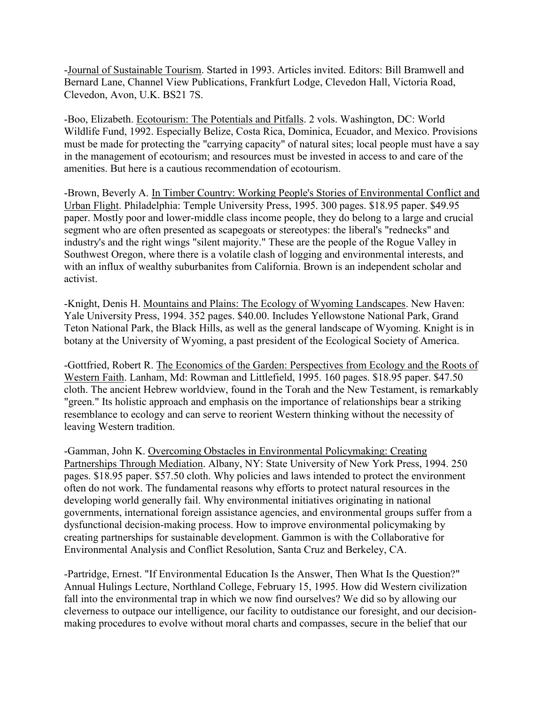-Journal of Sustainable Tourism. Started in 1993. Articles invited. Editors: Bill Bramwell and Bernard Lane, Channel View Publications, Frankfurt Lodge, Clevedon Hall, Victoria Road, Clevedon, Avon, U.K. BS21 7S.

-Boo, Elizabeth. Ecotourism: The Potentials and Pitfalls. 2 vols. Washington, DC: World Wildlife Fund, 1992. Especially Belize, Costa Rica, Dominica, Ecuador, and Mexico. Provisions must be made for protecting the "carrying capacity" of natural sites; local people must have a say in the management of ecotourism; and resources must be invested in access to and care of the amenities. But here is a cautious recommendation of ecotourism.

-Brown, Beverly A. In Timber Country: Working People's Stories of Environmental Conflict and Urban Flight. Philadelphia: Temple University Press, 1995. 300 pages. \$18.95 paper. \$49.95 paper. Mostly poor and lower-middle class income people, they do belong to a large and crucial segment who are often presented as scapegoats or stereotypes: the liberal's "rednecks" and industry's and the right wings "silent majority." These are the people of the Rogue Valley in Southwest Oregon, where there is a volatile clash of logging and environmental interests, and with an influx of wealthy suburbanites from California. Brown is an independent scholar and activist.

-Knight, Denis H. Mountains and Plains: The Ecology of Wyoming Landscapes. New Haven: Yale University Press, 1994. 352 pages. \$40.00. Includes Yellowstone National Park, Grand Teton National Park, the Black Hills, as well as the general landscape of Wyoming. Knight is in botany at the University of Wyoming, a past president of the Ecological Society of America.

-Gottfried, Robert R. The Economics of the Garden: Perspectives from Ecology and the Roots of Western Faith. Lanham, Md: Rowman and Littlefield, 1995. 160 pages. \$18.95 paper. \$47.50 cloth. The ancient Hebrew worldview, found in the Torah and the New Testament, is remarkably "green." Its holistic approach and emphasis on the importance of relationships bear a striking resemblance to ecology and can serve to reorient Western thinking without the necessity of leaving Western tradition.

-Gamman, John K. Overcoming Obstacles in Environmental Policymaking: Creating Partnerships Through Mediation. Albany, NY: State University of New York Press, 1994. 250 pages. \$18.95 paper. \$57.50 cloth. Why policies and laws intended to protect the environment often do not work. The fundamental reasons why efforts to protect natural resources in the developing world generally fail. Why environmental initiatives originating in national governments, international foreign assistance agencies, and environmental groups suffer from a dysfunctional decision-making process. How to improve environmental policymaking by creating partnerships for sustainable development. Gammon is with the Collaborative for Environmental Analysis and Conflict Resolution, Santa Cruz and Berkeley, CA.

-Partridge, Ernest. "If Environmental Education Is the Answer, Then What Is the Question?" Annual Hulings Lecture, Northland College, February 15, 1995. How did Western civilization fall into the environmental trap in which we now find ourselves? We did so by allowing our cleverness to outpace our intelligence, our facility to outdistance our foresight, and our decisionmaking procedures to evolve without moral charts and compasses, secure in the belief that our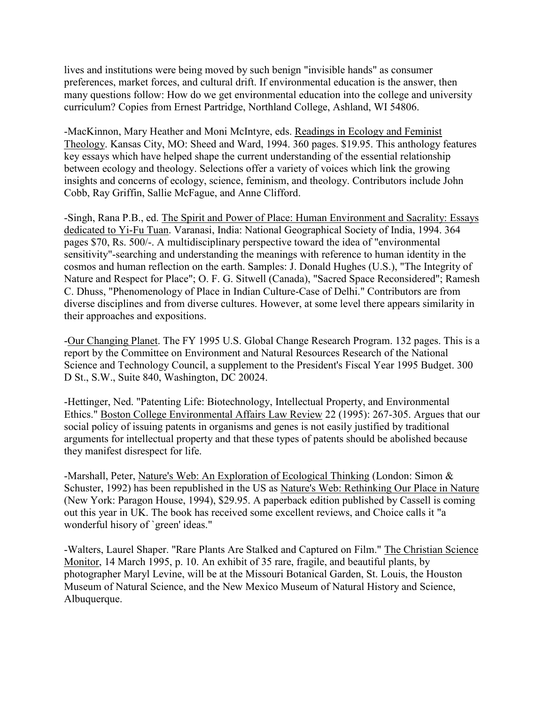lives and institutions were being moved by such benign "invisible hands" as consumer preferences, market forces, and cultural drift. If environmental education is the answer, then many questions follow: How do we get environmental education into the college and university curriculum? Copies from Ernest Partridge, Northland College, Ashland, WI 54806.

-MacKinnon, Mary Heather and Moni McIntyre, eds. Readings in Ecology and Feminist Theology. Kansas City, MO: Sheed and Ward, 1994. 360 pages. \$19.95. This anthology features key essays which have helped shape the current understanding of the essential relationship between ecology and theology. Selections offer a variety of voices which link the growing insights and concerns of ecology, science, feminism, and theology. Contributors include John Cobb, Ray Griffin, Sallie McFague, and Anne Clifford.

-Singh, Rana P.B., ed. The Spirit and Power of Place: Human Environment and Sacrality: Essays dedicated to Yi-Fu Tuan. Varanasi, India: National Geographical Society of India, 1994. 364 pages \$70, Rs. 500/-. A multidisciplinary perspective toward the idea of "environmental sensitivity"-searching and understanding the meanings with reference to human identity in the cosmos and human reflection on the earth. Samples: J. Donald Hughes (U.S.), "The Integrity of Nature and Respect for Place"; O. F. G. Sitwell (Canada), "Sacred Space Reconsidered"; Ramesh C. Dhuss, "Phenomenology of Place in Indian Culture-Case of Delhi." Contributors are from diverse disciplines and from diverse cultures. However, at some level there appears similarity in their approaches and expositions.

-Our Changing Planet. The FY 1995 U.S. Global Change Research Program. 132 pages. This is a report by the Committee on Environment and Natural Resources Research of the National Science and Technology Council, a supplement to the President's Fiscal Year 1995 Budget. 300 D St., S.W., Suite 840, Washington, DC 20024.

-Hettinger, Ned. "Patenting Life: Biotechnology, Intellectual Property, and Environmental Ethics." Boston College Environmental Affairs Law Review 22 (1995): 267-305. Argues that our social policy of issuing patents in organisms and genes is not easily justified by traditional arguments for intellectual property and that these types of patents should be abolished because they manifest disrespect for life.

-Marshall, Peter, Nature's Web: An Exploration of Ecological Thinking (London: Simon & Schuster, 1992) has been republished in the US as Nature's Web: Rethinking Our Place in Nature (New York: Paragon House, 1994), \$29.95. A paperback edition published by Cassell is coming out this year in UK. The book has received some excellent reviews, and Choice calls it "a wonderful hisory of `green' ideas."

-Walters, Laurel Shaper. "Rare Plants Are Stalked and Captured on Film." The Christian Science Monitor, 14 March 1995, p. 10. An exhibit of 35 rare, fragile, and beautiful plants, by photographer Maryl Levine, will be at the Missouri Botanical Garden, St. Louis, the Houston Museum of Natural Science, and the New Mexico Museum of Natural History and Science, Albuquerque.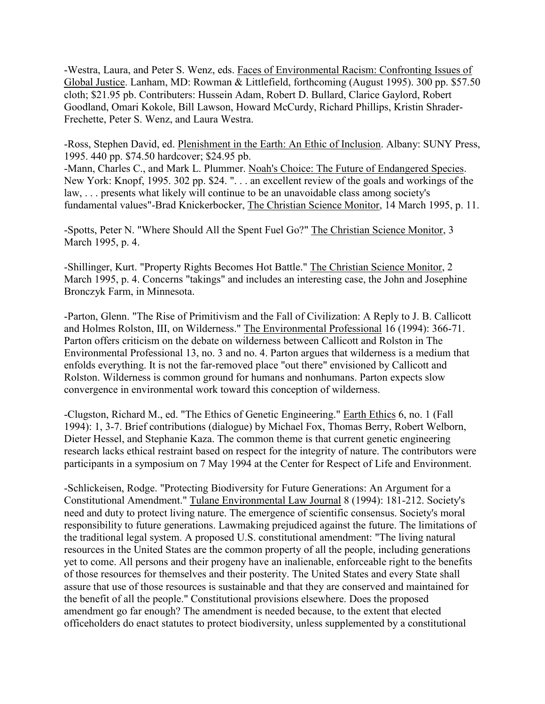-Westra, Laura, and Peter S. Wenz, eds. Faces of Environmental Racism: Confronting Issues of Global Justice. Lanham, MD: Rowman & Littlefield, forthcoming (August 1995). 300 pp. \$57.50 cloth; \$21.95 pb. Contributers: Hussein Adam, Robert D. Bullard, Clarice Gaylord, Robert Goodland, Omari Kokole, Bill Lawson, Howard McCurdy, Richard Phillips, Kristin Shrader-Frechette, Peter S. Wenz, and Laura Westra.

-Ross, Stephen David, ed. Plenishment in the Earth: An Ethic of Inclusion. Albany: SUNY Press, 1995. 440 pp. \$74.50 hardcover; \$24.95 pb.

-Mann, Charles C., and Mark L. Plummer. Noah's Choice: The Future of Endangered Species. New York: Knopf, 1995. 302 pp. \$24. ". . . an excellent review of the goals and workings of the law, . . . presents what likely will continue to be an unavoidable class among society's fundamental values"-Brad Knickerbocker, The Christian Science Monitor, 14 March 1995, p. 11.

-Spotts, Peter N. "Where Should All the Spent Fuel Go?" The Christian Science Monitor, 3 March 1995, p. 4.

-Shillinger, Kurt. "Property Rights Becomes Hot Battle." The Christian Science Monitor, 2 March 1995, p. 4. Concerns "takings" and includes an interesting case, the John and Josephine Bronczyk Farm, in Minnesota.

-Parton, Glenn. "The Rise of Primitivism and the Fall of Civilization: A Reply to J. B. Callicott and Holmes Rolston, III, on Wilderness." The Environmental Professional 16 (1994): 366-71. Parton offers criticism on the debate on wilderness between Callicott and Rolston in The Environmental Professional 13, no. 3 and no. 4. Parton argues that wilderness is a medium that enfolds everything. It is not the far-removed place "out there" envisioned by Callicott and Rolston. Wilderness is common ground for humans and nonhumans. Parton expects slow convergence in environmental work toward this conception of wilderness.

-Clugston, Richard M., ed. "The Ethics of Genetic Engineering." Earth Ethics 6, no. 1 (Fall 1994): 1, 3-7. Brief contributions (dialogue) by Michael Fox, Thomas Berry, Robert Welborn, Dieter Hessel, and Stephanie Kaza. The common theme is that current genetic engineering research lacks ethical restraint based on respect for the integrity of nature. The contributors were participants in a symposium on 7 May 1994 at the Center for Respect of Life and Environment.

-Schlickeisen, Rodge. "Protecting Biodiversity for Future Generations: An Argument for a Constitutional Amendment." Tulane Environmental Law Journal 8 (1994): 181-212. Society's need and duty to protect living nature. The emergence of scientific consensus. Society's moral responsibility to future generations. Lawmaking prejudiced against the future. The limitations of the traditional legal system. A proposed U.S. constitutional amendment: "The living natural resources in the United States are the common property of all the people, including generations yet to come. All persons and their progeny have an inalienable, enforceable right to the benefits of those resources for themselves and their posterity. The United States and every State shall assure that use of those resources is sustainable and that they are conserved and maintained for the benefit of all the people." Constitutional provisions elsewhere. Does the proposed amendment go far enough? The amendment is needed because, to the extent that elected officeholders do enact statutes to protect biodiversity, unless supplemented by a constitutional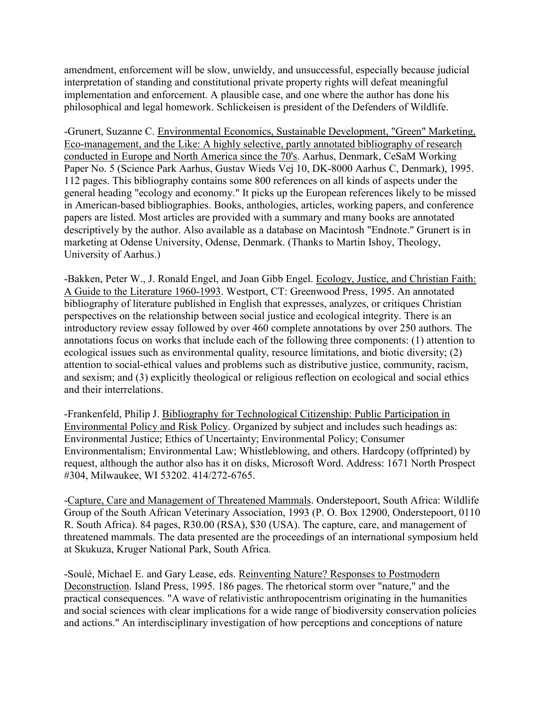amendment, enforcement will be slow, unwieldy, and unsuccessful, especially because judicial interpretation of standing and constitutional private property rights will defeat meaningful implementation and enforcement. A plausible case, and one where the author has done his philosophical and legal homework. Schlickeisen is president of the Defenders of Wildlife.

-Grunert, Suzanne C. Environmental Economics, Sustainable Development, "Green" Marketing, Eco-management, and the Like: A highly selective, partly annotated bibliography of research conducted in Europe and North America since the 70's. Aarhus, Denmark, CeSaM Working Paper No. 5 (Science Park Aarhus, Gustav Wieds Vej 10, DK-8000 Aarhus C, Denmark), 1995. 112 pages. This bibliography contains some 800 references on all kinds of aspects under the general heading "ecology and economy." It picks up the European references likely to be missed in American-based bibliographies. Books, anthologies, articles, working papers, and conference papers are listed. Most articles are provided with a summary and many books are annotated descriptively by the author. Also available as a database on Macintosh "Endnote." Grunert is in marketing at Odense University, Odense, Denmark. (Thanks to Martin Ishoy, Theology, University of Aarhus.)

-Bakken, Peter W., J. Ronald Engel, and Joan Gibb Engel. Ecology, Justice, and Christian Faith: A Guide to the Literature 1960-1993. Westport, CT: Greenwood Press, 1995. An annotated bibliography of literature published in English that expresses, analyzes, or critiques Christian perspectives on the relationship between social justice and ecological integrity. There is an introductory review essay followed by over 460 complete annotations by over 250 authors. The annotations focus on works that include each of the following three components: (1) attention to ecological issues such as environmental quality, resource limitations, and biotic diversity; (2) attention to social-ethical values and problems such as distributive justice, community, racism, and sexism; and (3) explicitly theological or religious reflection on ecological and social ethics and their interrelations.

-Frankenfeld, Philip J. Bibliography for Technological Citizenship: Public Participation in Environmental Policy and Risk Policy. Organized by subject and includes such headings as: Environmental Justice; Ethics of Uncertainty; Environmental Policy; Consumer Environmentalism; Environmental Law; Whistleblowing, and others. Hardcopy (offprinted) by request, although the author also has it on disks, Microsoft Word. Address: 1671 North Prospect #304, Milwaukee, WI 53202. 414/272-6765.

-Capture, Care and Management of Threatened Mammals. Onderstepoort, South Africa: Wildlife Group of the South African Veterinary Association, 1993 (P. O. Box 12900, Onderstepoort, 0110 R. South Africa). 84 pages, R30.00 (RSA), \$30 (USA). The capture, care, and management of threatened mammals. The data presented are the proceedings of an international symposium held at Skukuza, Kruger National Park, South Africa.

-Soulé, Michael E. and Gary Lease, eds. Reinventing Nature? Responses to Postmodern Deconstruction. Island Press, 1995. 186 pages. The rhetorical storm over "nature," and the practical consequences. "A wave of relativistic anthropocentrism originating in the humanities and social sciences with clear implications for a wide range of biodiversity conservation policies and actions." An interdisciplinary investigation of how perceptions and conceptions of nature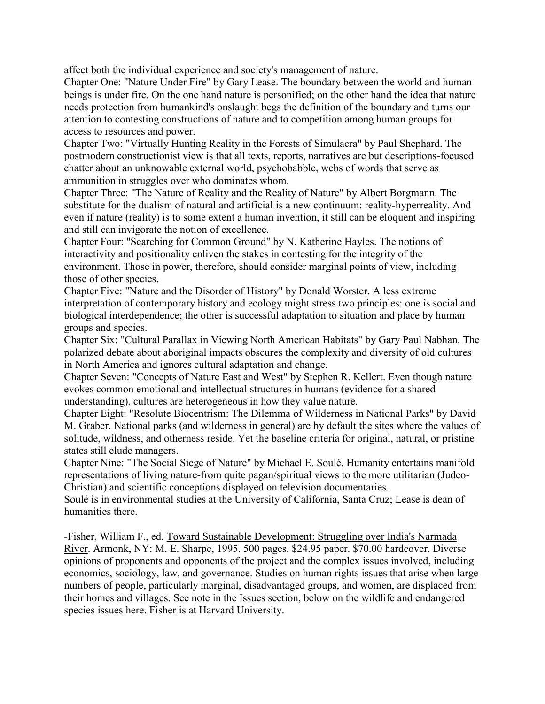affect both the individual experience and society's management of nature.

Chapter One: "Nature Under Fire" by Gary Lease. The boundary between the world and human beings is under fire. On the one hand nature is personified; on the other hand the idea that nature needs protection from humankind's onslaught begs the definition of the boundary and turns our attention to contesting constructions of nature and to competition among human groups for access to resources and power.

Chapter Two: "Virtually Hunting Reality in the Forests of Simulacra" by Paul Shephard. The postmodern constructionist view is that all texts, reports, narratives are but descriptions-focused chatter about an unknowable external world, psychobabble, webs of words that serve as ammunition in struggles over who dominates whom.

Chapter Three: "The Nature of Reality and the Reality of Nature" by Albert Borgmann. The substitute for the dualism of natural and artificial is a new continuum: reality-hyperreality. And even if nature (reality) is to some extent a human invention, it still can be eloquent and inspiring and still can invigorate the notion of excellence.

Chapter Four: "Searching for Common Ground" by N. Katherine Hayles. The notions of interactivity and positionality enliven the stakes in contesting for the integrity of the environment. Those in power, therefore, should consider marginal points of view, including those of other species.

Chapter Five: "Nature and the Disorder of History" by Donald Worster. A less extreme interpretation of contemporary history and ecology might stress two principles: one is social and biological interdependence; the other is successful adaptation to situation and place by human groups and species.

Chapter Six: "Cultural Parallax in Viewing North American Habitats" by Gary Paul Nabhan. The polarized debate about aboriginal impacts obscures the complexity and diversity of old cultures in North America and ignores cultural adaptation and change.

Chapter Seven: "Concepts of Nature East and West" by Stephen R. Kellert. Even though nature evokes common emotional and intellectual structures in humans (evidence for a shared understanding), cultures are heterogeneous in how they value nature.

Chapter Eight: "Resolute Biocentrism: The Dilemma of Wilderness in National Parks" by David M. Graber. National parks (and wilderness in general) are by default the sites where the values of solitude, wildness, and otherness reside. Yet the baseline criteria for original, natural, or pristine states still elude managers.

Chapter Nine: "The Social Siege of Nature" by Michael E. Soulé. Humanity entertains manifold representations of living nature-from quite pagan/spiritual views to the more utilitarian (Judeo-Christian) and scientific conceptions displayed on television documentaries.

Soulé is in environmental studies at the University of California, Santa Cruz; Lease is dean of humanities there.

-Fisher, William F., ed. Toward Sustainable Development: Struggling over India's Narmada River. Armonk, NY: M. E. Sharpe, 1995. 500 pages. \$24.95 paper. \$70.00 hardcover. Diverse opinions of proponents and opponents of the project and the complex issues involved, including economics, sociology, law, and governance. Studies on human rights issues that arise when large numbers of people, particularly marginal, disadvantaged groups, and women, are displaced from their homes and villages. See note in the Issues section, below on the wildlife and endangered species issues here. Fisher is at Harvard University.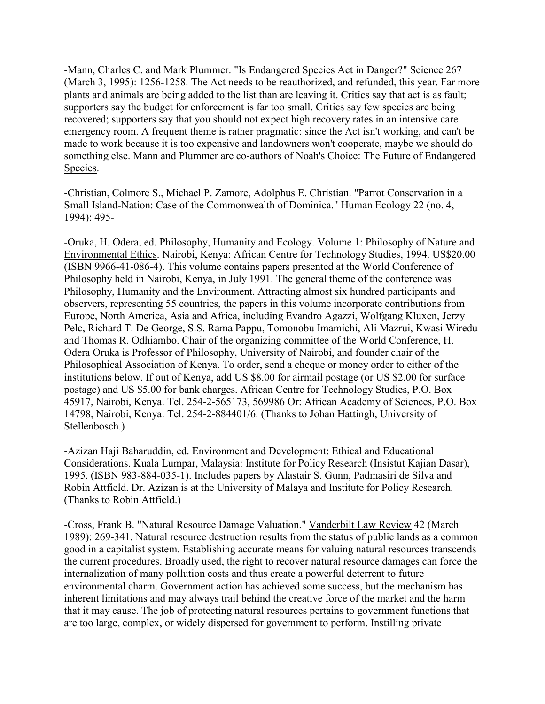-Mann, Charles C. and Mark Plummer. "Is Endangered Species Act in Danger?" Science 267 (March 3, 1995): 1256-1258. The Act needs to be reauthorized, and refunded, this year. Far more plants and animals are being added to the list than are leaving it. Critics say that act is as fault; supporters say the budget for enforcement is far too small. Critics say few species are being recovered; supporters say that you should not expect high recovery rates in an intensive care emergency room. A frequent theme is rather pragmatic: since the Act isn't working, and can't be made to work because it is too expensive and landowners won't cooperate, maybe we should do something else. Mann and Plummer are co-authors of Noah's Choice: The Future of Endangered Species.

-Christian, Colmore S., Michael P. Zamore, Adolphus E. Christian. "Parrot Conservation in a Small Island-Nation: Case of the Commonwealth of Dominica." Human Ecology 22 (no. 4, 1994): 495-

-Oruka, H. Odera, ed. Philosophy, Humanity and Ecology. Volume 1: Philosophy of Nature and Environmental Ethics. Nairobi, Kenya: African Centre for Technology Studies, 1994. US\$20.00 (ISBN 9966-41-086-4). This volume contains papers presented at the World Conference of Philosophy held in Nairobi, Kenya, in July 1991. The general theme of the conference was Philosophy, Humanity and the Environment. Attracting almost six hundred participants and observers, representing 55 countries, the papers in this volume incorporate contributions from Europe, North America, Asia and Africa, including Evandro Agazzi, Wolfgang Kluxen, Jerzy Pelc, Richard T. De George, S.S. Rama Pappu, Tomonobu Imamichi, Ali Mazrui, Kwasi Wiredu and Thomas R. Odhiambo. Chair of the organizing committee of the World Conference, H. Odera Oruka is Professor of Philosophy, University of Nairobi, and founder chair of the Philosophical Association of Kenya. To order, send a cheque or money order to either of the institutions below. If out of Kenya, add US \$8.00 for airmail postage (or US \$2.00 for surface postage) and US \$5.00 for bank charges. African Centre for Technology Studies, P.O. Box 45917, Nairobi, Kenya. Tel. 254-2-565173, 569986 Or: African Academy of Sciences, P.O. Box 14798, Nairobi, Kenya. Tel. 254-2-884401/6. (Thanks to Johan Hattingh, University of Stellenbosch.)

-Azizan Haji Baharuddin, ed. Environment and Development: Ethical and Educational Considerations. Kuala Lumpar, Malaysia: Institute for Policy Research (Insistut Kajian Dasar), 1995. (ISBN 983-884-035-1). Includes papers by Alastair S. Gunn, Padmasiri de Silva and Robin Attfield. Dr. Azizan is at the University of Malaya and Institute for Policy Research. (Thanks to Robin Attfield.)

-Cross, Frank B. "Natural Resource Damage Valuation." Vanderbilt Law Review 42 (March 1989): 269-341. Natural resource destruction results from the status of public lands as a common good in a capitalist system. Establishing accurate means for valuing natural resources transcends the current procedures. Broadly used, the right to recover natural resource damages can force the internalization of many pollution costs and thus create a powerful deterrent to future environmental charm. Government action has achieved some success, but the mechanism has inherent limitations and may always trail behind the creative force of the market and the harm that it may cause. The job of protecting natural resources pertains to government functions that are too large, complex, or widely dispersed for government to perform. Instilling private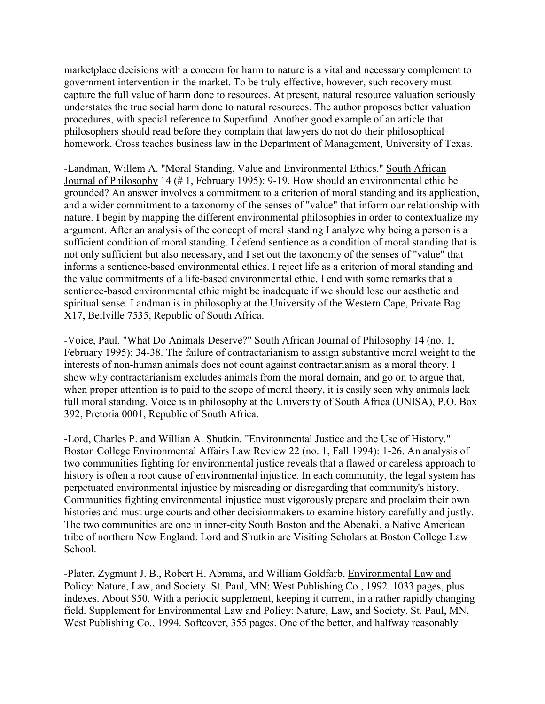marketplace decisions with a concern for harm to nature is a vital and necessary complement to government intervention in the market. To be truly effective, however, such recovery must capture the full value of harm done to resources. At present, natural resource valuation seriously understates the true social harm done to natural resources. The author proposes better valuation procedures, with special reference to Superfund. Another good example of an article that philosophers should read before they complain that lawyers do not do their philosophical homework. Cross teaches business law in the Department of Management, University of Texas.

-Landman, Willem A. "Moral Standing, Value and Environmental Ethics." South African Journal of Philosophy 14 (# 1, February 1995): 9-19. How should an environmental ethic be grounded? An answer involves a commitment to a criterion of moral standing and its application, and a wider commitment to a taxonomy of the senses of "value" that inform our relationship with nature. I begin by mapping the different environmental philosophies in order to contextualize my argument. After an analysis of the concept of moral standing I analyze why being a person is a sufficient condition of moral standing. I defend sentience as a condition of moral standing that is not only sufficient but also necessary, and I set out the taxonomy of the senses of "value" that informs a sentience-based environmental ethics. I reject life as a criterion of moral standing and the value commitments of a life-based environmental ethic. I end with some remarks that a sentience-based environmental ethic might be inadequate if we should lose our aesthetic and spiritual sense. Landman is in philosophy at the University of the Western Cape, Private Bag X17, Bellville 7535, Republic of South Africa.

-Voice, Paul. "What Do Animals Deserve?" South African Journal of Philosophy 14 (no. 1, February 1995): 34-38. The failure of contractarianism to assign substantive moral weight to the interests of non-human animals does not count against contractarianism as a moral theory. I show why contractarianism excludes animals from the moral domain, and go on to argue that, when proper attention is to paid to the scope of moral theory, it is easily seen why animals lack full moral standing. Voice is in philosophy at the University of South Africa (UNISA), P.O. Box 392, Pretoria 0001, Republic of South Africa.

-Lord, Charles P. and Willian A. Shutkin. "Environmental Justice and the Use of History." Boston College Environmental Affairs Law Review 22 (no. 1, Fall 1994): 1-26. An analysis of two communities fighting for environmental justice reveals that a flawed or careless approach to history is often a root cause of environmental injustice. In each community, the legal system has perpetuated environmental injustice by misreading or disregarding that community's history. Communities fighting environmental injustice must vigorously prepare and proclaim their own histories and must urge courts and other decisionmakers to examine history carefully and justly. The two communities are one in inner-city South Boston and the Abenaki, a Native American tribe of northern New England. Lord and Shutkin are Visiting Scholars at Boston College Law School.

-Plater, Zygmunt J. B., Robert H. Abrams, and William Goldfarb. Environmental Law and Policy: Nature, Law, and Society. St. Paul, MN: West Publishing Co., 1992. 1033 pages, plus indexes. About \$50. With a periodic supplement, keeping it current, in a rather rapidly changing field. Supplement for Environmental Law and Policy: Nature, Law, and Society. St. Paul, MN, West Publishing Co., 1994. Softcover, 355 pages. One of the better, and halfway reasonably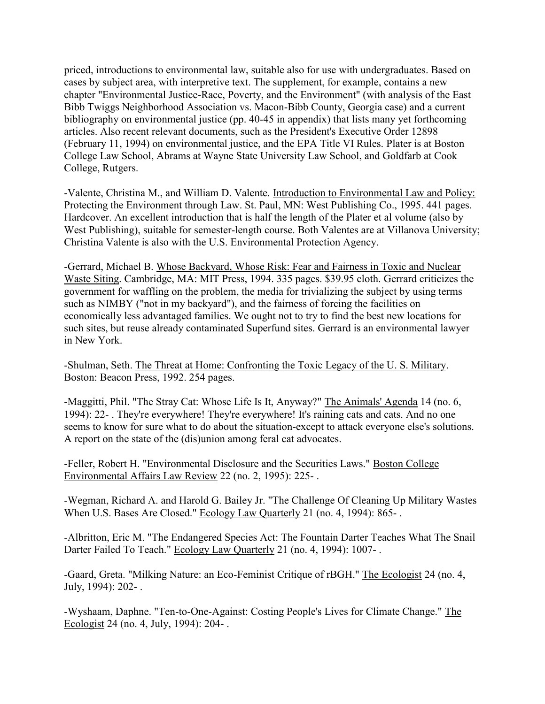priced, introductions to environmental law, suitable also for use with undergraduates. Based on cases by subject area, with interpretive text. The supplement, for example, contains a new chapter "Environmental Justice-Race, Poverty, and the Environment" (with analysis of the East Bibb Twiggs Neighborhood Association vs. Macon-Bibb County, Georgia case) and a current bibliography on environmental justice (pp. 40-45 in appendix) that lists many yet forthcoming articles. Also recent relevant documents, such as the President's Executive Order 12898 (February 11, 1994) on environmental justice, and the EPA Title VI Rules. Plater is at Boston College Law School, Abrams at Wayne State University Law School, and Goldfarb at Cook College, Rutgers.

-Valente, Christina M., and William D. Valente. Introduction to Environmental Law and Policy: Protecting the Environment through Law. St. Paul, MN: West Publishing Co., 1995. 441 pages. Hardcover. An excellent introduction that is half the length of the Plater et al volume (also by West Publishing), suitable for semester-length course. Both Valentes are at Villanova University; Christina Valente is also with the U.S. Environmental Protection Agency.

-Gerrard, Michael B. Whose Backyard, Whose Risk: Fear and Fairness in Toxic and Nuclear Waste Siting. Cambridge, MA: MIT Press, 1994. 335 pages. \$39.95 cloth. Gerrard criticizes the government for waffling on the problem, the media for trivializing the subject by using terms such as NIMBY ("not in my backyard"), and the fairness of forcing the facilities on economically less advantaged families. We ought not to try to find the best new locations for such sites, but reuse already contaminated Superfund sites. Gerrard is an environmental lawyer in New York.

-Shulman, Seth. The Threat at Home: Confronting the Toxic Legacy of the U. S. Military. Boston: Beacon Press, 1992. 254 pages.

-Maggitti, Phil. "The Stray Cat: Whose Life Is It, Anyway?" The Animals' Agenda 14 (no. 6, 1994): 22- . They're everywhere! They're everywhere! It's raining cats and cats. And no one seems to know for sure what to do about the situation-except to attack everyone else's solutions. A report on the state of the (dis)union among feral cat advocates.

-Feller, Robert H. "Environmental Disclosure and the Securities Laws." Boston College Environmental Affairs Law Review 22 (no. 2, 1995): 225- .

-Wegman, Richard A. and Harold G. Bailey Jr. "The Challenge Of Cleaning Up Military Wastes When U.S. Bases Are Closed." Ecology Law Quarterly 21 (no. 4, 1994): 865- .

-Albritton, Eric M. "The Endangered Species Act: The Fountain Darter Teaches What The Snail Darter Failed To Teach." Ecology Law Quarterly 21 (no. 4, 1994): 1007- .

-Gaard, Greta. "Milking Nature: an Eco-Feminist Critique of rBGH." The Ecologist 24 (no. 4, July, 1994): 202- .

-Wyshaam, Daphne. "Ten-to-One-Against: Costing People's Lives for Climate Change." The Ecologist 24 (no. 4, July, 1994): 204- .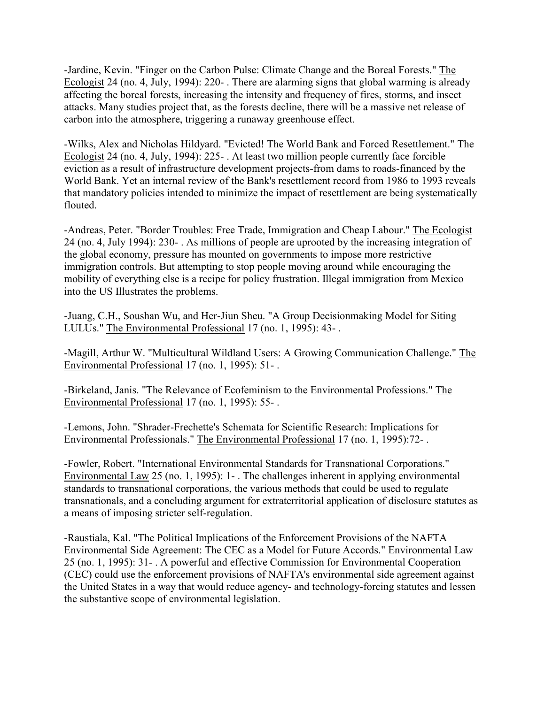-Jardine, Kevin. "Finger on the Carbon Pulse: Climate Change and the Boreal Forests." The Ecologist 24 (no. 4, July, 1994): 220- . There are alarming signs that global warming is already affecting the boreal forests, increasing the intensity and frequency of fires, storms, and insect attacks. Many studies project that, as the forests decline, there will be a massive net release of carbon into the atmosphere, triggering a runaway greenhouse effect.

-Wilks, Alex and Nicholas Hildyard. "Evicted! The World Bank and Forced Resettlement." The Ecologist 24 (no. 4, July, 1994): 225- . At least two million people currently face forcible eviction as a result of infrastructure development projects-from dams to roads-financed by the World Bank. Yet an internal review of the Bank's resettlement record from 1986 to 1993 reveals that mandatory policies intended to minimize the impact of resettlement are being systematically flouted.

-Andreas, Peter. "Border Troubles: Free Trade, Immigration and Cheap Labour." The Ecologist 24 (no. 4, July 1994): 230- . As millions of people are uprooted by the increasing integration of the global economy, pressure has mounted on governments to impose more restrictive immigration controls. But attempting to stop people moving around while encouraging the mobility of everything else is a recipe for policy frustration. Illegal immigration from Mexico into the US Illustrates the problems.

-Juang, C.H., Soushan Wu, and Her-Jiun Sheu. "A Group Decisionmaking Model for Siting LULUs." The Environmental Professional 17 (no. 1, 1995): 43- .

-Magill, Arthur W. "Multicultural Wildland Users: A Growing Communication Challenge." The Environmental Professional 17 (no. 1, 1995): 51- .

-Birkeland, Janis. "The Relevance of Ecofeminism to the Environmental Professions." The Environmental Professional 17 (no. 1, 1995): 55- .

-Lemons, John. "Shrader-Frechette's Schemata for Scientific Research: Implications for Environmental Professionals." The Environmental Professional 17 (no. 1, 1995):72- .

-Fowler, Robert. "International Environmental Standards for Transnational Corporations." Environmental Law 25 (no. 1, 1995): 1- . The challenges inherent in applying environmental standards to transnational corporations, the various methods that could be used to regulate transnationals, and a concluding argument for extraterritorial application of disclosure statutes as a means of imposing stricter self-regulation.

-Raustiala, Kal. "The Political Implications of the Enforcement Provisions of the NAFTA Environmental Side Agreement: The CEC as a Model for Future Accords." Environmental Law 25 (no. 1, 1995): 31- . A powerful and effective Commission for Environmental Cooperation (CEC) could use the enforcement provisions of NAFTA's environmental side agreement against the United States in a way that would reduce agency- and technology-forcing statutes and lessen the substantive scope of environmental legislation.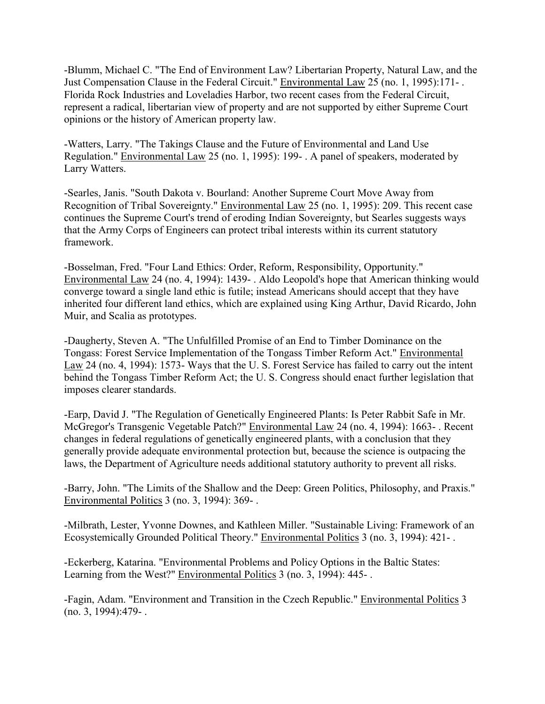-Blumm, Michael C. "The End of Environment Law? Libertarian Property, Natural Law, and the Just Compensation Clause in the Federal Circuit." Environmental Law 25 (no. 1, 1995):171- . Florida Rock Industries and Loveladies Harbor, two recent cases from the Federal Circuit, represent a radical, libertarian view of property and are not supported by either Supreme Court opinions or the history of American property law.

-Watters, Larry. "The Takings Clause and the Future of Environmental and Land Use Regulation." Environmental Law 25 (no. 1, 1995): 199- . A panel of speakers, moderated by Larry Watters.

-Searles, Janis. "South Dakota v. Bourland: Another Supreme Court Move Away from Recognition of Tribal Sovereignty." Environmental Law 25 (no. 1, 1995): 209. This recent case continues the Supreme Court's trend of eroding Indian Sovereignty, but Searles suggests ways that the Army Corps of Engineers can protect tribal interests within its current statutory framework.

-Bosselman, Fred. "Four Land Ethics: Order, Reform, Responsibility, Opportunity." Environmental Law 24 (no. 4, 1994): 1439- . Aldo Leopold's hope that American thinking would converge toward a single land ethic is futile; instead Americans should accept that they have inherited four different land ethics, which are explained using King Arthur, David Ricardo, John Muir, and Scalia as prototypes.

-Daugherty, Steven A. "The Unfulfilled Promise of an End to Timber Dominance on the Tongass: Forest Service Implementation of the Tongass Timber Reform Act." Environmental Law 24 (no. 4, 1994): 1573- Ways that the U. S. Forest Service has failed to carry out the intent behind the Tongass Timber Reform Act; the U. S. Congress should enact further legislation that imposes clearer standards.

-Earp, David J. "The Regulation of Genetically Engineered Plants: Is Peter Rabbit Safe in Mr. McGregor's Transgenic Vegetable Patch?" Environmental Law 24 (no. 4, 1994): 1663- . Recent changes in federal regulations of genetically engineered plants, with a conclusion that they generally provide adequate environmental protection but, because the science is outpacing the laws, the Department of Agriculture needs additional statutory authority to prevent all risks.

-Barry, John. "The Limits of the Shallow and the Deep: Green Politics, Philosophy, and Praxis." Environmental Politics 3 (no. 3, 1994): 369- .

-Milbrath, Lester, Yvonne Downes, and Kathleen Miller. "Sustainable Living: Framework of an Ecosystemically Grounded Political Theory." Environmental Politics 3 (no. 3, 1994): 421- .

-Eckerberg, Katarina. "Environmental Problems and Policy Options in the Baltic States: Learning from the West?" Environmental Politics 3 (no. 3, 1994): 445- .

-Fagin, Adam. "Environment and Transition in the Czech Republic." Environmental Politics 3 (no. 3, 1994):479- .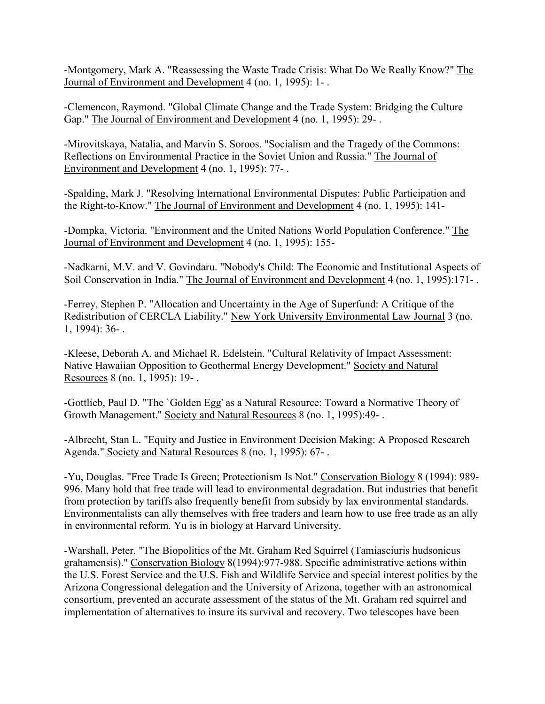-Montgomery, Mark A. "Reassessing the Waste Trade Crisis: What Do We Really Know?" The Journal of Environment and Development 4 (no. 1, 1995): 1- .

-Clemencon, Raymond. "Global Climate Change and the Trade System: Bridging the Culture Gap." The Journal of Environment and Development 4 (no. 1, 1995): 29-.

-Mirovitskaya, Natalia, and Marvin S. Soroos. "Socialism and the Tragedy of the Commons: Reflections on Environmental Practice in the Soviet Union and Russia." The Journal of Environment and Development 4 (no. 1, 1995): 77- .

-Spalding, Mark J. "Resolving International Environmental Disputes: Public Participation and the Right-to-Know." The Journal of Environment and Development 4 (no. 1, 1995): 141-

-Dompka, Victoria. "Environment and the United Nations World Population Conference." The Journal of Environment and Development 4 (no. 1, 1995): 155-

-Nadkarni, M.V. and V. Govindaru. "Nobody's Child: The Economic and Institutional Aspects of Soil Conservation in India." The Journal of Environment and Development 4 (no. 1, 1995):171- .

-Ferrey, Stephen P. "Allocation and Uncertainty in the Age of Superfund: A Critique of the Redistribution of CERCLA Liability." New York University Environmental Law Journal 3 (no. 1, 1994): 36- .

-Kleese, Deborah A. and Michael R. Edelstein. "Cultural Relativity of Impact Assessment: Native Hawaiian Opposition to Geothermal Energy Development." Society and Natural Resources 8 (no. 1, 1995): 19- .

-Gottlieb, Paul D. "The `Golden Egg' as a Natural Resource: Toward a Normative Theory of Growth Management." Society and Natural Resources 8 (no. 1, 1995):49- .

-Albrecht, Stan L. "Equity and Justice in Environment Decision Making: A Proposed Research Agenda." Society and Natural Resources 8 (no. 1, 1995): 67- .

-Yu, Douglas. "Free Trade Is Green; Protectionism Is Not." Conservation Biology 8 (1994): 989- 996. Many hold that free trade will lead to environmental degradation. But industries that benefit from protection by tariffs also frequently benefit from subsidy by lax environmental standards. Environmentalists can ally themselves with free traders and learn how to use free trade as an ally in environmental reform. Yu is in biology at Harvard University.

-Warshall, Peter. "The Biopolitics of the Mt. Graham Red Squirrel (Tamiasciuris hudsonicus grahamensis)." Conservation Biology 8(1994):977-988. Specific administrative actions within the U.S. Forest Service and the U.S. Fish and Wildlife Service and special interest politics by the Arizona Congressional delegation and the University of Arizona, together with an astronomical consortium, prevented an accurate assessment of the status of the Mt. Graham red squirrel and implementation of alternatives to insure its survival and recovery. Two telescopes have been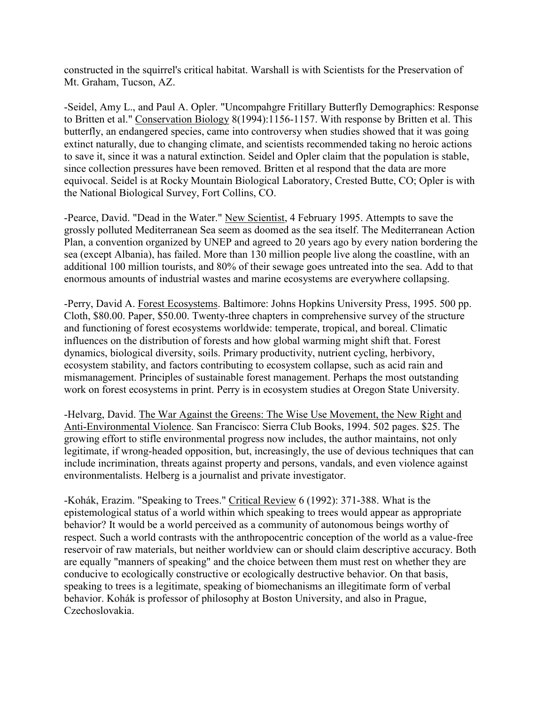constructed in the squirrel's critical habitat. Warshall is with Scientists for the Preservation of Mt. Graham, Tucson, AZ.

-Seidel, Amy L., and Paul A. Opler. "Uncompahgre Fritillary Butterfly Demographics: Response to Britten et al." Conservation Biology 8(1994):1156-1157. With response by Britten et al. This butterfly, an endangered species, came into controversy when studies showed that it was going extinct naturally, due to changing climate, and scientists recommended taking no heroic actions to save it, since it was a natural extinction. Seidel and Opler claim that the population is stable, since collection pressures have been removed. Britten et al respond that the data are more equivocal. Seidel is at Rocky Mountain Biological Laboratory, Crested Butte, CO; Opler is with the National Biological Survey, Fort Collins, CO.

-Pearce, David. "Dead in the Water." New Scientist, 4 February 1995. Attempts to save the grossly polluted Mediterranean Sea seem as doomed as the sea itself. The Mediterranean Action Plan, a convention organized by UNEP and agreed to 20 years ago by every nation bordering the sea (except Albania), has failed. More than 130 million people live along the coastline, with an additional 100 million tourists, and 80% of their sewage goes untreated into the sea. Add to that enormous amounts of industrial wastes and marine ecosystems are everywhere collapsing.

-Perry, David A. Forest Ecosystems. Baltimore: Johns Hopkins University Press, 1995. 500 pp. Cloth, \$80.00. Paper, \$50.00. Twenty-three chapters in comprehensive survey of the structure and functioning of forest ecosystems worldwide: temperate, tropical, and boreal. Climatic influences on the distribution of forests and how global warming might shift that. Forest dynamics, biological diversity, soils. Primary productivity, nutrient cycling, herbivory, ecosystem stability, and factors contributing to ecosystem collapse, such as acid rain and mismanagement. Principles of sustainable forest management. Perhaps the most outstanding work on forest ecosystems in print. Perry is in ecosystem studies at Oregon State University.

-Helvarg, David. The War Against the Greens: The Wise Use Movement, the New Right and Anti-Environmental Violence. San Francisco: Sierra Club Books, 1994. 502 pages. \$25. The growing effort to stifle environmental progress now includes, the author maintains, not only legitimate, if wrong-headed opposition, but, increasingly, the use of devious techniques that can include incrimination, threats against property and persons, vandals, and even violence against environmentalists. Helberg is a journalist and private investigator.

-Kohák, Erazim. "Speaking to Trees." Critical Review 6 (1992): 371-388. What is the epistemological status of a world within which speaking to trees would appear as appropriate behavior? It would be a world perceived as a community of autonomous beings worthy of respect. Such a world contrasts with the anthropocentric conception of the world as a value-free reservoir of raw materials, but neither worldview can or should claim descriptive accuracy. Both are equally "manners of speaking" and the choice between them must rest on whether they are conducive to ecologically constructive or ecologically destructive behavior. On that basis, speaking to trees is a legitimate, speaking of biomechanisms an illegitimate form of verbal behavior. Kohák is professor of philosophy at Boston University, and also in Prague, Czechoslovakia.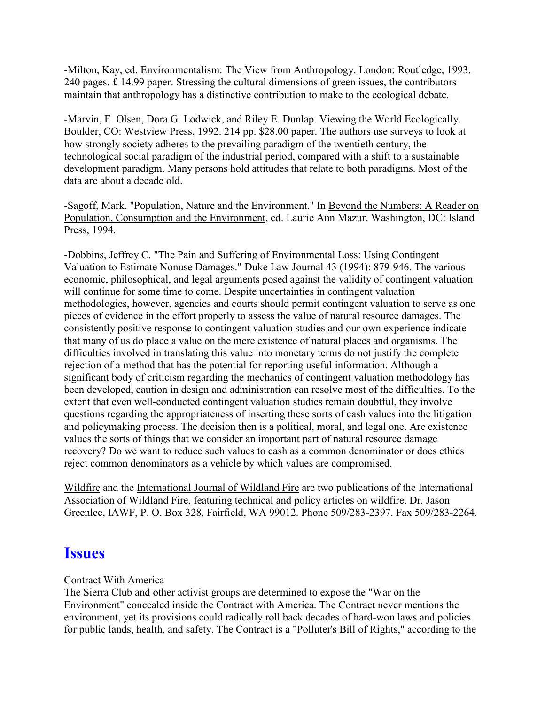-Milton, Kay, ed. Environmentalism: The View from Anthropology. London: Routledge, 1993. 240 pages. £ 14.99 paper. Stressing the cultural dimensions of green issues, the contributors maintain that anthropology has a distinctive contribution to make to the ecological debate.

-Marvin, E. Olsen, Dora G. Lodwick, and Riley E. Dunlap. Viewing the World Ecologically. Boulder, CO: Westview Press, 1992. 214 pp. \$28.00 paper. The authors use surveys to look at how strongly society adheres to the prevailing paradigm of the twentieth century, the technological social paradigm of the industrial period, compared with a shift to a sustainable development paradigm. Many persons hold attitudes that relate to both paradigms. Most of the data are about a decade old.

-Sagoff, Mark. "Population, Nature and the Environment." In Beyond the Numbers: A Reader on Population, Consumption and the Environment, ed. Laurie Ann Mazur. Washington, DC: Island Press, 1994.

-Dobbins, Jeffrey C. "The Pain and Suffering of Environmental Loss: Using Contingent Valuation to Estimate Nonuse Damages." Duke Law Journal 43 (1994): 879-946. The various economic, philosophical, and legal arguments posed against the validity of contingent valuation will continue for some time to come. Despite uncertainties in contingent valuation methodologies, however, agencies and courts should permit contingent valuation to serve as one pieces of evidence in the effort properly to assess the value of natural resource damages. The consistently positive response to contingent valuation studies and our own experience indicate that many of us do place a value on the mere existence of natural places and organisms. The difficulties involved in translating this value into monetary terms do not justify the complete rejection of a method that has the potential for reporting useful information. Although a significant body of criticism regarding the mechanics of contingent valuation methodology has been developed, caution in design and administration can resolve most of the difficulties. To the extent that even well-conducted contingent valuation studies remain doubtful, they involve questions regarding the appropriateness of inserting these sorts of cash values into the litigation and policymaking process. The decision then is a political, moral, and legal one. Are existence values the sorts of things that we consider an important part of natural resource damage recovery? Do we want to reduce such values to cash as a common denominator or does ethics reject common denominators as a vehicle by which values are compromised.

Wildfire and the International Journal of Wildland Fire are two publications of the International Association of Wildland Fire, featuring technical and policy articles on wildfire. Dr. Jason Greenlee, IAWF, P. O. Box 328, Fairfield, WA 99012. Phone 509/283-2397. Fax 509/283-2264.

## **Issues**

### Contract With America

The Sierra Club and other activist groups are determined to expose the "War on the Environment" concealed inside the Contract with America. The Contract never mentions the environment, yet its provisions could radically roll back decades of hard-won laws and policies for public lands, health, and safety. The Contract is a "Polluter's Bill of Rights," according to the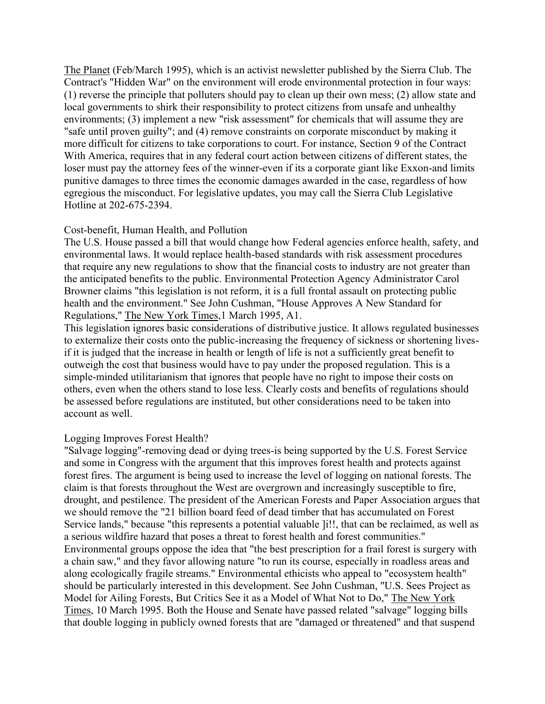The Planet (Feb/March 1995), which is an activist newsletter published by the Sierra Club. The Contract's "Hidden War" on the environment will erode environmental protection in four ways: (1) reverse the principle that polluters should pay to clean up their own mess; (2) allow state and local governments to shirk their responsibility to protect citizens from unsafe and unhealthy environments; (3) implement a new "risk assessment" for chemicals that will assume they are "safe until proven guilty"; and (4) remove constraints on corporate misconduct by making it more difficult for citizens to take corporations to court. For instance, Section 9 of the Contract With America, requires that in any federal court action between citizens of different states, the loser must pay the attorney fees of the winner-even if its a corporate giant like Exxon-and limits punitive damages to three times the economic damages awarded in the case, regardless of how egregious the misconduct. For legislative updates, you may call the Sierra Club Legislative Hotline at 202-675-2394.

#### Cost-benefit, Human Health, and Pollution

The U.S. House passed a bill that would change how Federal agencies enforce health, safety, and environmental laws. It would replace health-based standards with risk assessment procedures that require any new regulations to show that the financial costs to industry are not greater than the anticipated benefits to the public. Environmental Protection Agency Administrator Carol Browner claims "this legislation is not reform, it is a full frontal assault on protecting public health and the environment." See John Cushman, "House Approves A New Standard for Regulations," The New York Times,1 March 1995, A1.

This legislation ignores basic considerations of distributive justice. It allows regulated businesses to externalize their costs onto the public-increasing the frequency of sickness or shortening livesif it is judged that the increase in health or length of life is not a sufficiently great benefit to outweigh the cost that business would have to pay under the proposed regulation. This is a simple-minded utilitarianism that ignores that people have no right to impose their costs on others, even when the others stand to lose less. Clearly costs and benefits of regulations should be assessed before regulations are instituted, but other considerations need to be taken into account as well.

#### Logging Improves Forest Health?

"Salvage logging"-removing dead or dying trees-is being supported by the U.S. Forest Service and some in Congress with the argument that this improves forest health and protects against forest fires. The argument is being used to increase the level of logging on national forests. The claim is that forests throughout the West are overgrown and increasingly susceptible to fire, drought, and pestilence. The president of the American Forests and Paper Association argues that we should remove the "21 billion board feed of dead timber that has accumulated on Forest Service lands," because "this represents a potential valuable ]i!!, that can be reclaimed, as well as a serious wildfire hazard that poses a threat to forest health and forest communities." Environmental groups oppose the idea that "the best prescription for a frail forest is surgery with a chain saw," and they favor allowing nature "to run its course, especially in roadless areas and along ecologically fragile streams." Environmental ethicists who appeal to "ecosystem health" should be particularly interested in this development. See John Cushman, "U.S. Sees Project as Model for Ailing Forests, But Critics See it as a Model of What Not to Do," The New York Times, 10 March 1995. Both the House and Senate have passed related "salvage" logging bills that double logging in publicly owned forests that are "damaged or threatened" and that suspend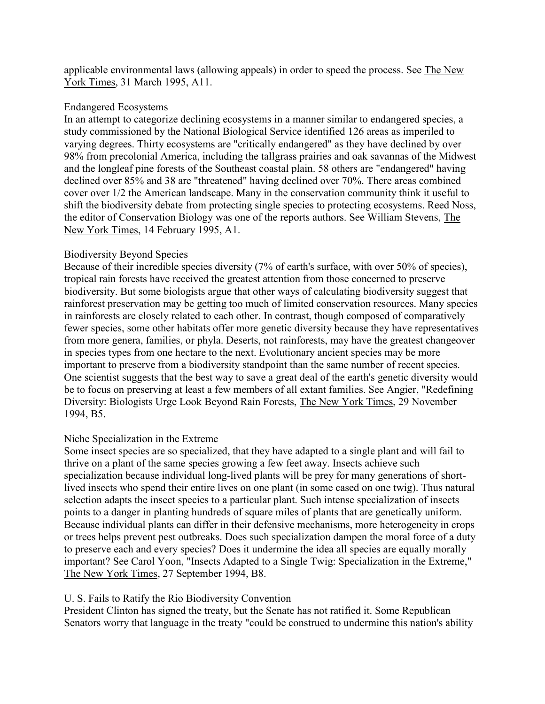applicable environmental laws (allowing appeals) in order to speed the process. See The New York Times, 31 March 1995, A11.

#### Endangered Ecosystems

In an attempt to categorize declining ecosystems in a manner similar to endangered species, a study commissioned by the National Biological Service identified 126 areas as imperiled to varying degrees. Thirty ecosystems are "critically endangered" as they have declined by over 98% from precolonial America, including the tallgrass prairies and oak savannas of the Midwest and the longleaf pine forests of the Southeast coastal plain. 58 others are "endangered" having declined over 85% and 38 are "threatened" having declined over 70%. There areas combined cover over 1/2 the American landscape. Many in the conservation community think it useful to shift the biodiversity debate from protecting single species to protecting ecosystems. Reed Noss, the editor of Conservation Biology was one of the reports authors. See William Stevens, The New York Times, 14 February 1995, A1.

#### Biodiversity Beyond Species

Because of their incredible species diversity (7% of earth's surface, with over 50% of species), tropical rain forests have received the greatest attention from those concerned to preserve biodiversity. But some biologists argue that other ways of calculating biodiversity suggest that rainforest preservation may be getting too much of limited conservation resources. Many species in rainforests are closely related to each other. In contrast, though composed of comparatively fewer species, some other habitats offer more genetic diversity because they have representatives from more genera, families, or phyla. Deserts, not rainforests, may have the greatest changeover in species types from one hectare to the next. Evolutionary ancient species may be more important to preserve from a biodiversity standpoint than the same number of recent species. One scientist suggests that the best way to save a great deal of the earth's genetic diversity would be to focus on preserving at least a few members of all extant families. See Angier, "Redefining Diversity: Biologists Urge Look Beyond Rain Forests, The New York Times, 29 November 1994, B5.

### Niche Specialization in the Extreme

Some insect species are so specialized, that they have adapted to a single plant and will fail to thrive on a plant of the same species growing a few feet away. Insects achieve such specialization because individual long-lived plants will be prey for many generations of shortlived insects who spend their entire lives on one plant (in some cased on one twig). Thus natural selection adapts the insect species to a particular plant. Such intense specialization of insects points to a danger in planting hundreds of square miles of plants that are genetically uniform. Because individual plants can differ in their defensive mechanisms, more heterogeneity in crops or trees helps prevent pest outbreaks. Does such specialization dampen the moral force of a duty to preserve each and every species? Does it undermine the idea all species are equally morally important? See Carol Yoon, "Insects Adapted to a Single Twig: Specialization in the Extreme," The New York Times, 27 September 1994, B8.

### U. S. Fails to Ratify the Rio Biodiversity Convention

President Clinton has signed the treaty, but the Senate has not ratified it. Some Republican Senators worry that language in the treaty "could be construed to undermine this nation's ability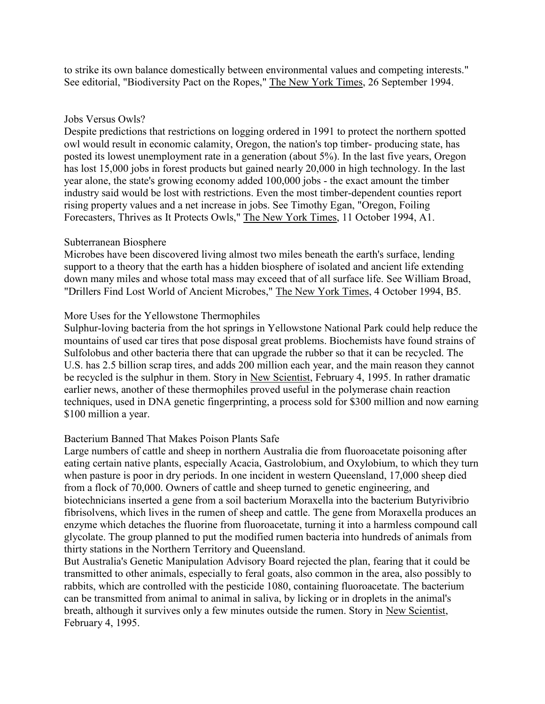to strike its own balance domestically between environmental values and competing interests." See editorial, "Biodiversity Pact on the Ropes," The New York Times, 26 September 1994.

#### Jobs Versus Owls?

Despite predictions that restrictions on logging ordered in 1991 to protect the northern spotted owl would result in economic calamity, Oregon, the nation's top timber- producing state, has posted its lowest unemployment rate in a generation (about 5%). In the last five years, Oregon has lost 15,000 jobs in forest products but gained nearly 20,000 in high technology. In the last year alone, the state's growing economy added 100,000 jobs - the exact amount the timber industry said would be lost with restrictions. Even the most timber-dependent counties report rising property values and a net increase in jobs. See Timothy Egan, "Oregon, Foiling Forecasters, Thrives as It Protects Owls," The New York Times, 11 October 1994, A1.

#### Subterranean Biosphere

Microbes have been discovered living almost two miles beneath the earth's surface, lending support to a theory that the earth has a hidden biosphere of isolated and ancient life extending down many miles and whose total mass may exceed that of all surface life. See William Broad, "Drillers Find Lost World of Ancient Microbes," The New York Times, 4 October 1994, B5.

### More Uses for the Yellowstone Thermophiles

Sulphur-loving bacteria from the hot springs in Yellowstone National Park could help reduce the mountains of used car tires that pose disposal great problems. Biochemists have found strains of Sulfolobus and other bacteria there that can upgrade the rubber so that it can be recycled. The U.S. has 2.5 billion scrap tires, and adds 200 million each year, and the main reason they cannot be recycled is the sulphur in them. Story in New Scientist, February 4, 1995. In rather dramatic earlier news, another of these thermophiles proved useful in the polymerase chain reaction techniques, used in DNA genetic fingerprinting, a process sold for \$300 million and now earning \$100 million a year.

#### Bacterium Banned That Makes Poison Plants Safe

Large numbers of cattle and sheep in northern Australia die from fluoroacetate poisoning after eating certain native plants, especially Acacia, Gastrolobium, and Oxylobium, to which they turn when pasture is poor in dry periods. In one incident in western Queensland, 17,000 sheep died from a flock of 70,000. Owners of cattle and sheep turned to genetic engineering, and biotechnicians inserted a gene from a soil bacterium Moraxella into the bacterium Butyrivibrio fibrisolvens, which lives in the rumen of sheep and cattle. The gene from Moraxella produces an enzyme which detaches the fluorine from fluoroacetate, turning it into a harmless compound call glycolate. The group planned to put the modified rumen bacteria into hundreds of animals from thirty stations in the Northern Territory and Queensland.

But Australia's Genetic Manipulation Advisory Board rejected the plan, fearing that it could be transmitted to other animals, especially to feral goats, also common in the area, also possibly to rabbits, which are controlled with the pesticide 1080, containing fluoroacetate. The bacterium can be transmitted from animal to animal in saliva, by licking or in droplets in the animal's breath, although it survives only a few minutes outside the rumen. Story in New Scientist, February 4, 1995.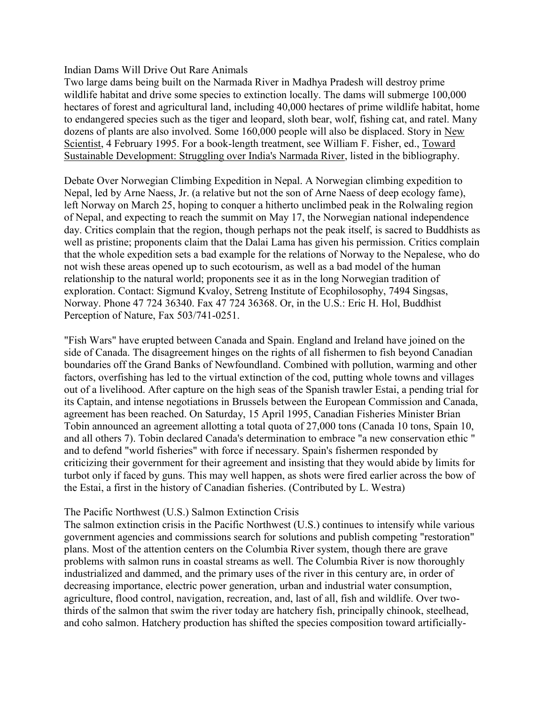#### Indian Dams Will Drive Out Rare Animals

Two large dams being built on the Narmada River in Madhya Pradesh will destroy prime wildlife habitat and drive some species to extinction locally. The dams will submerge 100,000 hectares of forest and agricultural land, including 40,000 hectares of prime wildlife habitat, home to endangered species such as the tiger and leopard, sloth bear, wolf, fishing cat, and ratel. Many dozens of plants are also involved. Some 160,000 people will also be displaced. Story in New Scientist, 4 February 1995. For a book-length treatment, see William F. Fisher, ed., Toward Sustainable Development: Struggling over India's Narmada River, listed in the bibliography.

Debate Over Norwegian Climbing Expedition in Nepal. A Norwegian climbing expedition to Nepal, led by Arne Naess, Jr. (a relative but not the son of Arne Naess of deep ecology fame), left Norway on March 25, hoping to conquer a hitherto unclimbed peak in the Rolwaling region of Nepal, and expecting to reach the summit on May 17, the Norwegian national independence day. Critics complain that the region, though perhaps not the peak itself, is sacred to Buddhists as well as pristine; proponents claim that the Dalai Lama has given his permission. Critics complain that the whole expedition sets a bad example for the relations of Norway to the Nepalese, who do not wish these areas opened up to such ecotourism, as well as a bad model of the human relationship to the natural world; proponents see it as in the long Norwegian tradition of exploration. Contact: Sigmund Kvaloy, Setreng Institute of Ecophilosophy, 7494 Singsas, Norway. Phone 47 724 36340. Fax 47 724 36368. Or, in the U.S.: Eric H. Hol, Buddhist Perception of Nature, Fax 503/741-0251.

"Fish Wars" have erupted between Canada and Spain. England and Ireland have joined on the side of Canada. The disagreement hinges on the rights of all fishermen to fish beyond Canadian boundaries off the Grand Banks of Newfoundland. Combined with pollution, warming and other factors, overfishing has led to the virtual extinction of the cod, putting whole towns and villages out of a livelihood. After capture on the high seas of the Spanish trawler Estai, a pending trial for its Captain, and intense negotiations in Brussels between the European Commission and Canada, agreement has been reached. On Saturday, 15 April 1995, Canadian Fisheries Minister Brian Tobin announced an agreement allotting a total quota of 27,000 tons (Canada 10 tons, Spain 10, and all others 7). Tobin declared Canada's determination to embrace "a new conservation ethic " and to defend "world fisheries" with force if necessary. Spain's fishermen responded by criticizing their government for their agreement and insisting that they would abide by limits for turbot only if faced by guns. This may well happen, as shots were fired earlier across the bow of the Estai, a first in the history of Canadian fisheries. (Contributed by L. Westra)

#### The Pacific Northwest (U.S.) Salmon Extinction Crisis

The salmon extinction crisis in the Pacific Northwest (U.S.) continues to intensify while various government agencies and commissions search for solutions and publish competing "restoration" plans. Most of the attention centers on the Columbia River system, though there are grave problems with salmon runs in coastal streams as well. The Columbia River is now thoroughly industrialized and dammed, and the primary uses of the river in this century are, in order of decreasing importance, electric power generation, urban and industrial water consumption, agriculture, flood control, navigation, recreation, and, last of all, fish and wildlife. Over twothirds of the salmon that swim the river today are hatchery fish, principally chinook, steelhead, and coho salmon. Hatchery production has shifted the species composition toward artificially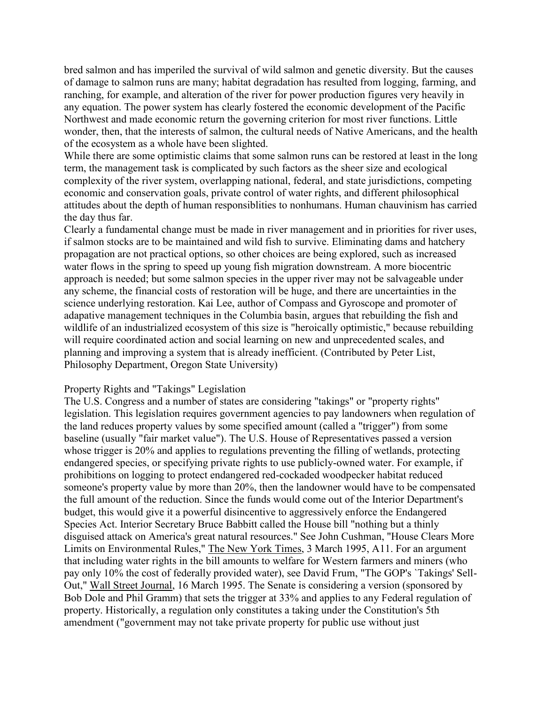bred salmon and has imperiled the survival of wild salmon and genetic diversity. But the causes of damage to salmon runs are many; habitat degradation has resulted from logging, farming, and ranching, for example, and alteration of the river for power production figures very heavily in any equation. The power system has clearly fostered the economic development of the Pacific Northwest and made economic return the governing criterion for most river functions. Little wonder, then, that the interests of salmon, the cultural needs of Native Americans, and the health of the ecosystem as a whole have been slighted.

While there are some optimistic claims that some salmon runs can be restored at least in the long term, the management task is complicated by such factors as the sheer size and ecological complexity of the river system, overlapping national, federal, and state jurisdictions, competing economic and conservation goals, private control of water rights, and different philosophical attitudes about the depth of human responsiblities to nonhumans. Human chauvinism has carried the day thus far.

Clearly a fundamental change must be made in river management and in priorities for river uses, if salmon stocks are to be maintained and wild fish to survive. Eliminating dams and hatchery propagation are not practical options, so other choices are being explored, such as increased water flows in the spring to speed up young fish migration downstream. A more biocentric approach is needed; but some salmon species in the upper river may not be salvageable under any scheme, the financial costs of restoration will be huge, and there are uncertainties in the science underlying restoration. Kai Lee, author of Compass and Gyroscope and promoter of adapative management techniques in the Columbia basin, argues that rebuilding the fish and wildlife of an industrialized ecosystem of this size is "heroically optimistic," because rebuilding will require coordinated action and social learning on new and unprecedented scales, and planning and improving a system that is already inefficient. (Contributed by Peter List, Philosophy Department, Oregon State University)

#### Property Rights and "Takings" Legislation

The U.S. Congress and a number of states are considering "takings" or "property rights" legislation. This legislation requires government agencies to pay landowners when regulation of the land reduces property values by some specified amount (called a "trigger") from some baseline (usually "fair market value"). The U.S. House of Representatives passed a version whose trigger is 20% and applies to regulations preventing the filling of wetlands, protecting endangered species, or specifying private rights to use publicly-owned water. For example, if prohibitions on logging to protect endangered red-cockaded woodpecker habitat reduced someone's property value by more than 20%, then the landowner would have to be compensated the full amount of the reduction. Since the funds would come out of the Interior Department's budget, this would give it a powerful disincentive to aggressively enforce the Endangered Species Act. Interior Secretary Bruce Babbitt called the House bill "nothing but a thinly disguised attack on America's great natural resources." See John Cushman, "House Clears More Limits on Environmental Rules," The New York Times, 3 March 1995, A11. For an argument that including water rights in the bill amounts to welfare for Western farmers and miners (who pay only 10% the cost of federally provided water), see David Frum, "The GOP's `Takings' Sell-Out," Wall Street Journal, 16 March 1995. The Senate is considering a version (sponsored by Bob Dole and Phil Gramm) that sets the trigger at 33% and applies to any Federal regulation of property. Historically, a regulation only constitutes a taking under the Constitution's 5th amendment ("government may not take private property for public use without just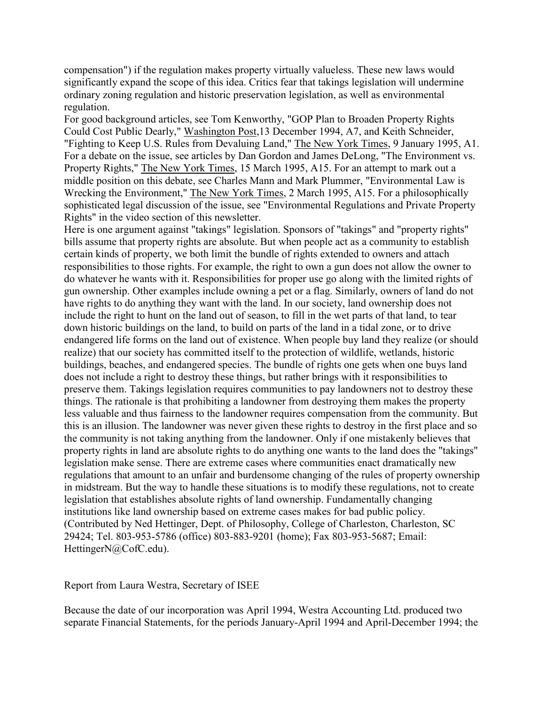compensation") if the regulation makes property virtually valueless. These new laws would significantly expand the scope of this idea. Critics fear that takings legislation will undermine ordinary zoning regulation and historic preservation legislation, as well as environmental regulation.

For good background articles, see Tom Kenworthy, "GOP Plan to Broaden Property Rights Could Cost Public Dearly," Washington Post,13 December 1994, A7, and Keith Schneider, "Fighting to Keep U.S. Rules from Devaluing Land," The New York Times, 9 January 1995, A1. For a debate on the issue, see articles by Dan Gordon and James DeLong, "The Environment vs. Property Rights," The New York Times, 15 March 1995, A15. For an attempt to mark out a middle position on this debate, see Charles Mann and Mark Plummer, "Environmental Law is Wrecking the Environment," The New York Times, 2 March 1995, A15. For a philosophically sophisticated legal discussion of the issue, see "Environmental Regulations and Private Property Rights" in the video section of this newsletter.

Here is one argument against "takings" legislation. Sponsors of "takings" and "property rights" bills assume that property rights are absolute. But when people act as a community to establish certain kinds of property, we both limit the bundle of rights extended to owners and attach responsibilities to those rights. For example, the right to own a gun does not allow the owner to do whatever he wants with it. Responsibilities for proper use go along with the limited rights of gun ownership. Other examples include owning a pet or a flag. Similarly, owners of land do not have rights to do anything they want with the land. In our society, land ownership does not include the right to hunt on the land out of season, to fill in the wet parts of that land, to tear down historic buildings on the land, to build on parts of the land in a tidal zone, or to drive endangered life forms on the land out of existence. When people buy land they realize (or should realize) that our society has committed itself to the protection of wildlife, wetlands, historic buildings, beaches, and endangered species. The bundle of rights one gets when one buys land does not include a right to destroy these things, but rather brings with it responsibilities to preserve them. Takings legislation requires communities to pay landowners not to destroy these things. The rationale is that prohibiting a landowner from destroying them makes the property less valuable and thus fairness to the landowner requires compensation from the community. But this is an illusion. The landowner was never given these rights to destroy in the first place and so the community is not taking anything from the landowner. Only if one mistakenly believes that property rights in land are absolute rights to do anything one wants to the land does the "takings" legislation make sense. There are extreme cases where communities enact dramatically new regulations that amount to an unfair and burdensome changing of the rules of property ownership in midstream. But the way to handle these situations is to modify these regulations, not to create legislation that establishes absolute rights of land ownership. Fundamentally changing institutions like land ownership based on extreme cases makes for bad public policy. (Contributed by Ned Hettinger, Dept. of Philosophy, College of Charleston, Charleston, SC 29424; Tel. 803-953-5786 (office) 803-883-9201 (home); Fax 803-953-5687; Email: HettingerN@CofC.edu).

Report from Laura Westra, Secretary of ISEE

Because the date of our incorporation was April 1994, Westra Accounting Ltd. produced two separate Financial Statements, for the periods January-April 1994 and April-December 1994; the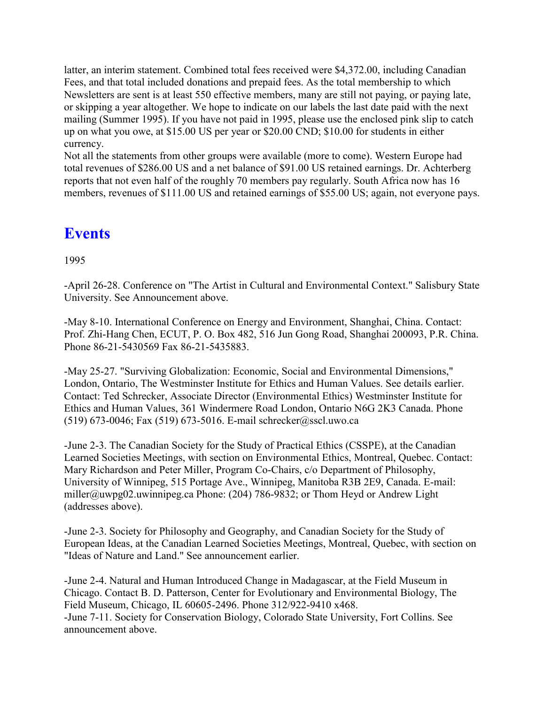latter, an interim statement. Combined total fees received were \$4,372.00, including Canadian Fees, and that total included donations and prepaid fees. As the total membership to which Newsletters are sent is at least 550 effective members, many are still not paying, or paying late, or skipping a year altogether. We hope to indicate on our labels the last date paid with the next mailing (Summer 1995). If you have not paid in 1995, please use the enclosed pink slip to catch up on what you owe, at \$15.00 US per year or \$20.00 CND; \$10.00 for students in either currency.

Not all the statements from other groups were available (more to come). Western Europe had total revenues of \$286.00 US and a net balance of \$91.00 US retained earnings. Dr. Achterberg reports that not even half of the roughly 70 members pay regularly. South Africa now has 16 members, revenues of \$111.00 US and retained earnings of \$55.00 US; again, not everyone pays.

### **Events**

1995

-April 26-28. Conference on "The Artist in Cultural and Environmental Context." Salisbury State University. See Announcement above.

-May 8-10. International Conference on Energy and Environment, Shanghai, China. Contact: Prof. Zhi-Hang Chen, ECUT, P. O. Box 482, 516 Jun Gong Road, Shanghai 200093, P.R. China. Phone 86-21-5430569 Fax 86-21-5435883.

-May 25-27. "Surviving Globalization: Economic, Social and Environmental Dimensions," London, Ontario, The Westminster Institute for Ethics and Human Values. See details earlier. Contact: Ted Schrecker, Associate Director (Environmental Ethics) Westminster Institute for Ethics and Human Values, 361 Windermere Road London, Ontario N6G 2K3 Canada. Phone (519) 673-0046; Fax (519) 673-5016. E-mail schrecker@sscl.uwo.ca

-June 2-3. The Canadian Society for the Study of Practical Ethics (CSSPE), at the Canadian Learned Societies Meetings, with section on Environmental Ethics, Montreal, Quebec. Contact: Mary Richardson and Peter Miller, Program Co-Chairs, c/o Department of Philosophy, University of Winnipeg, 515 Portage Ave., Winnipeg, Manitoba R3B 2E9, Canada. E-mail: miller@uwpg02.uwinnipeg.ca Phone: (204) 786-9832; or Thom Heyd or Andrew Light (addresses above).

-June 2-3. Society for Philosophy and Geography, and Canadian Society for the Study of European Ideas, at the Canadian Learned Societies Meetings, Montreal, Quebec, with section on "Ideas of Nature and Land." See announcement earlier.

-June 2-4. Natural and Human Introduced Change in Madagascar, at the Field Museum in Chicago. Contact B. D. Patterson, Center for Evolutionary and Environmental Biology, The Field Museum, Chicago, IL 60605-2496. Phone 312/922-9410 x468. -June 7-11. Society for Conservation Biology, Colorado State University, Fort Collins. See announcement above.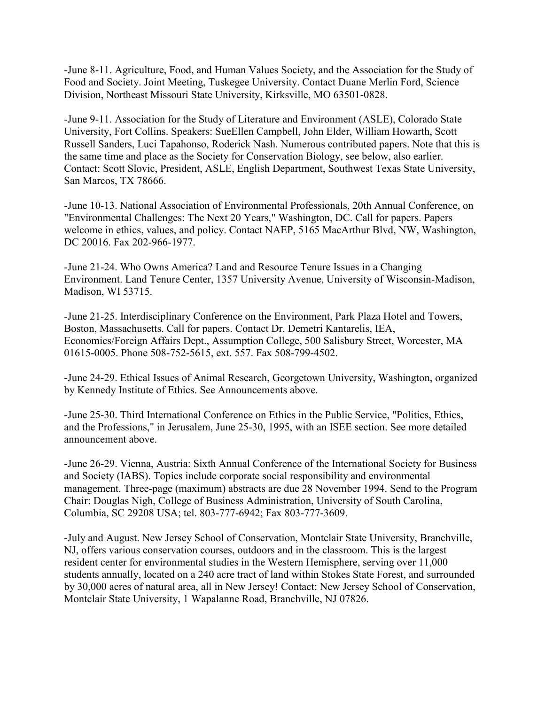-June 8-11. Agriculture, Food, and Human Values Society, and the Association for the Study of Food and Society. Joint Meeting, Tuskegee University. Contact Duane Merlin Ford, Science Division, Northeast Missouri State University, Kirksville, MO 63501-0828.

-June 9-11. Association for the Study of Literature and Environment (ASLE), Colorado State University, Fort Collins. Speakers: SueEllen Campbell, John Elder, William Howarth, Scott Russell Sanders, Luci Tapahonso, Roderick Nash. Numerous contributed papers. Note that this is the same time and place as the Society for Conservation Biology, see below, also earlier. Contact: Scott Slovic, President, ASLE, English Department, Southwest Texas State University, San Marcos, TX 78666.

-June 10-13. National Association of Environmental Professionals, 20th Annual Conference, on "Environmental Challenges: The Next 20 Years," Washington, DC. Call for papers. Papers welcome in ethics, values, and policy. Contact NAEP, 5165 MacArthur Blvd, NW, Washington, DC 20016. Fax 202-966-1977.

-June 21-24. Who Owns America? Land and Resource Tenure Issues in a Changing Environment. Land Tenure Center, 1357 University Avenue, University of Wisconsin-Madison, Madison, WI 53715.

-June 21-25. Interdisciplinary Conference on the Environment, Park Plaza Hotel and Towers, Boston, Massachusetts. Call for papers. Contact Dr. Demetri Kantarelis, IEA, Economics/Foreign Affairs Dept., Assumption College, 500 Salisbury Street, Worcester, MA 01615-0005. Phone 508-752-5615, ext. 557. Fax 508-799-4502.

-June 24-29. Ethical Issues of Animal Research, Georgetown University, Washington, organized by Kennedy Institute of Ethics. See Announcements above.

-June 25-30. Third International Conference on Ethics in the Public Service, "Politics, Ethics, and the Professions," in Jerusalem, June 25-30, 1995, with an ISEE section. See more detailed announcement above.

-June 26-29. Vienna, Austria: Sixth Annual Conference of the International Society for Business and Society (IABS). Topics include corporate social responsibility and environmental management. Three-page (maximum) abstracts are due 28 November 1994. Send to the Program Chair: Douglas Nigh, College of Business Administration, University of South Carolina, Columbia, SC 29208 USA; tel. 803-777-6942; Fax 803-777-3609.

-July and August. New Jersey School of Conservation, Montclair State University, Branchville, NJ, offers various conservation courses, outdoors and in the classroom. This is the largest resident center for environmental studies in the Western Hemisphere, serving over 11,000 students annually, located on a 240 acre tract of land within Stokes State Forest, and surrounded by 30,000 acres of natural area, all in New Jersey! Contact: New Jersey School of Conservation, Montclair State University, 1 Wapalanne Road, Branchville, NJ 07826.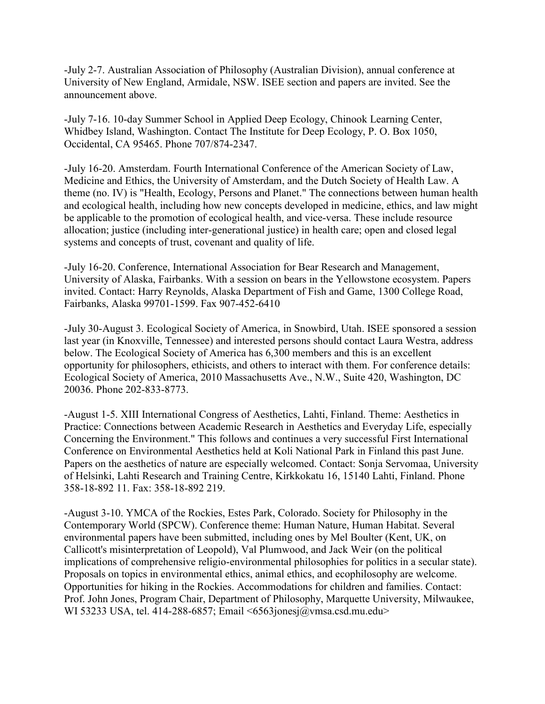-July 2-7. Australian Association of Philosophy (Australian Division), annual conference at University of New England, Armidale, NSW. ISEE section and papers are invited. See the announcement above.

-July 7-16. 10-day Summer School in Applied Deep Ecology, Chinook Learning Center, Whidbey Island, Washington. Contact The Institute for Deep Ecology, P. O. Box 1050, Occidental, CA 95465. Phone 707/874-2347.

-July 16-20. Amsterdam. Fourth International Conference of the American Society of Law, Medicine and Ethics, the University of Amsterdam, and the Dutch Society of Health Law. A theme (no. IV) is "Health, Ecology, Persons and Planet." The connections between human health and ecological health, including how new concepts developed in medicine, ethics, and law might be applicable to the promotion of ecological health, and vice-versa. These include resource allocation; justice (including inter-generational justice) in health care; open and closed legal systems and concepts of trust, covenant and quality of life.

-July 16-20. Conference, International Association for Bear Research and Management, University of Alaska, Fairbanks. With a session on bears in the Yellowstone ecosystem. Papers invited. Contact: Harry Reynolds, Alaska Department of Fish and Game, 1300 College Road, Fairbanks, Alaska 99701-1599. Fax 907-452-6410

-July 30-August 3. Ecological Society of America, in Snowbird, Utah. ISEE sponsored a session last year (in Knoxville, Tennessee) and interested persons should contact Laura Westra, address below. The Ecological Society of America has 6,300 members and this is an excellent opportunity for philosophers, ethicists, and others to interact with them. For conference details: Ecological Society of America, 2010 Massachusetts Ave., N.W., Suite 420, Washington, DC 20036. Phone 202-833-8773.

-August 1-5. XIII International Congress of Aesthetics, Lahti, Finland. Theme: Aesthetics in Practice: Connections between Academic Research in Aesthetics and Everyday Life, especially Concerning the Environment." This follows and continues a very successful First International Conference on Environmental Aesthetics held at Koli National Park in Finland this past June. Papers on the aesthetics of nature are especially welcomed. Contact: Sonja Servomaa, University of Helsinki, Lahti Research and Training Centre, Kirkkokatu 16, 15140 Lahti, Finland. Phone 358-18-892 11. Fax: 358-18-892 219.

-August 3-10. YMCA of the Rockies, Estes Park, Colorado. Society for Philosophy in the Contemporary World (SPCW). Conference theme: Human Nature, Human Habitat. Several environmental papers have been submitted, including ones by Mel Boulter (Kent, UK, on Callicott's misinterpretation of Leopold), Val Plumwood, and Jack Weir (on the political implications of comprehensive religio-environmental philosophies for politics in a secular state). Proposals on topics in environmental ethics, animal ethics, and ecophilosophy are welcome. Opportunities for hiking in the Rockies. Accommodations for children and families. Contact: Prof. John Jones, Program Chair, Department of Philosophy, Marquette University, Milwaukee, WI 53233 USA, tel. 414-288-6857; Email <6563jonesj@vmsa.csd.mu.edu>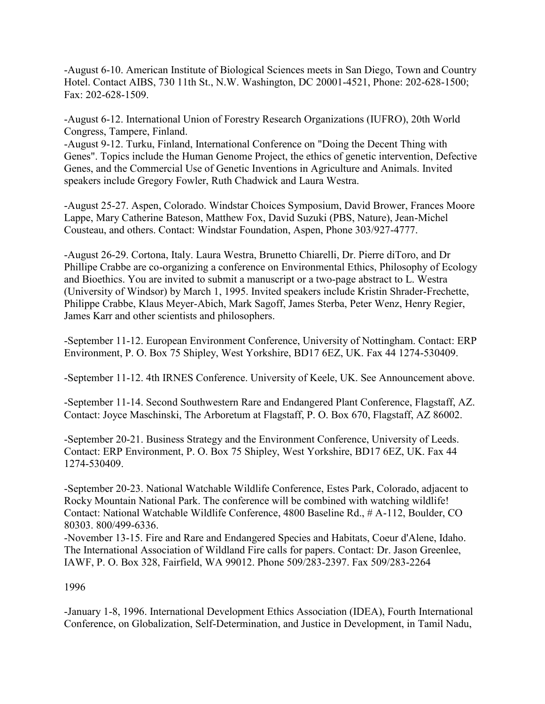-August 6-10. American Institute of Biological Sciences meets in San Diego, Town and Country Hotel. Contact AIBS, 730 11th St., N.W. Washington, DC 20001-4521, Phone: 202-628-1500; Fax: 202-628-1509.

-August 6-12. International Union of Forestry Research Organizations (IUFRO), 20th World Congress, Tampere, Finland.

-August 9-12. Turku, Finland, International Conference on "Doing the Decent Thing with Genes". Topics include the Human Genome Project, the ethics of genetic intervention, Defective Genes, and the Commercial Use of Genetic Inventions in Agriculture and Animals. Invited speakers include Gregory Fowler, Ruth Chadwick and Laura Westra.

-August 25-27. Aspen, Colorado. Windstar Choices Symposium, David Brower, Frances Moore Lappe, Mary Catherine Bateson, Matthew Fox, David Suzuki (PBS, Nature), Jean-Michel Cousteau, and others. Contact: Windstar Foundation, Aspen, Phone 303/927-4777.

-August 26-29. Cortona, Italy. Laura Westra, Brunetto Chiarelli, Dr. Pierre diToro, and Dr Phillipe Crabbe are co-organizing a conference on Environmental Ethics, Philosophy of Ecology and Bioethics. You are invited to submit a manuscript or a two-page abstract to L. Westra (University of Windsor) by March 1, 1995. Invited speakers include Kristin Shrader-Frechette, Philippe Crabbe, Klaus Meyer-Abich, Mark Sagoff, James Sterba, Peter Wenz, Henry Regier, James Karr and other scientists and philosophers.

-September 11-12. European Environment Conference, University of Nottingham. Contact: ERP Environment, P. O. Box 75 Shipley, West Yorkshire, BD17 6EZ, UK. Fax 44 1274-530409.

-September 11-12. 4th IRNES Conference. University of Keele, UK. See Announcement above.

-September 11-14. Second Southwestern Rare and Endangered Plant Conference, Flagstaff, AZ. Contact: Joyce Maschinski, The Arboretum at Flagstaff, P. O. Box 670, Flagstaff, AZ 86002.

-September 20-21. Business Strategy and the Environment Conference, University of Leeds. Contact: ERP Environment, P. O. Box 75 Shipley, West Yorkshire, BD17 6EZ, UK. Fax 44 1274-530409.

-September 20-23. National Watchable Wildlife Conference, Estes Park, Colorado, adjacent to Rocky Mountain National Park. The conference will be combined with watching wildlife! Contact: National Watchable Wildlife Conference, 4800 Baseline Rd., # A-112, Boulder, CO 80303. 800/499-6336.

-November 13-15. Fire and Rare and Endangered Species and Habitats, Coeur d'Alene, Idaho. The International Association of Wildland Fire calls for papers. Contact: Dr. Jason Greenlee, IAWF, P. O. Box 328, Fairfield, WA 99012. Phone 509/283-2397. Fax 509/283-2264

1996

-January 1-8, 1996. International Development Ethics Association (IDEA), Fourth International Conference, on Globalization, Self-Determination, and Justice in Development, in Tamil Nadu,